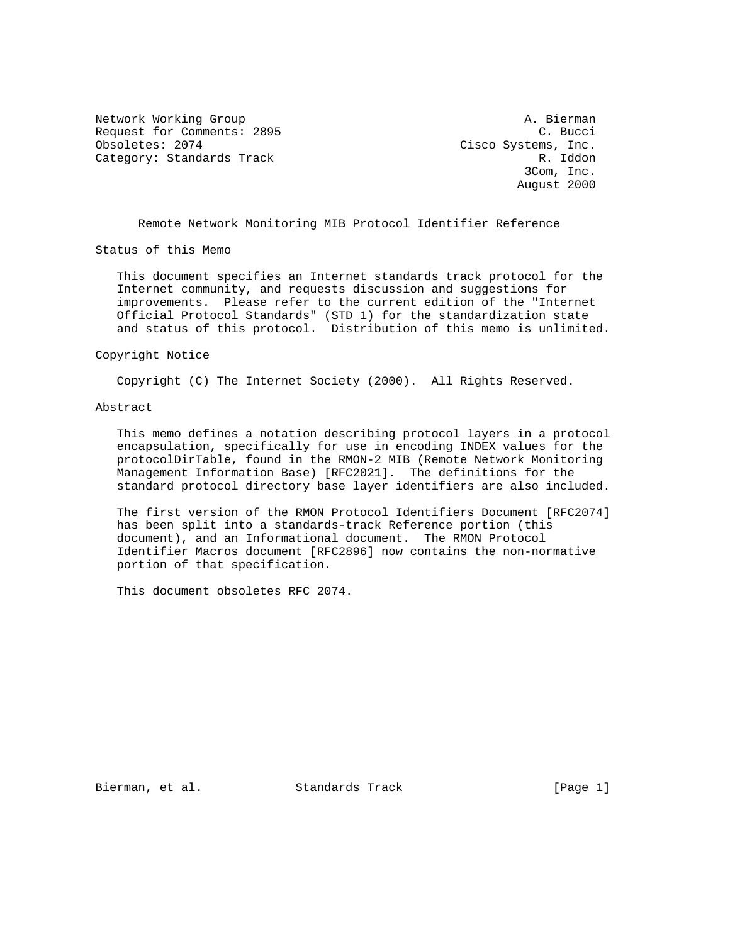Network Working Group and A. Bierman A. Bierman Request for Comments: 2895 C. Bucci<br>Obsoletes: 2074 Cisco Systems, Inc. Category: Standards Track R. Iddon

Cisco Systems, Inc. 3Com, Inc. August 2000

Remote Network Monitoring MIB Protocol Identifier Reference

Status of this Memo

 This document specifies an Internet standards track protocol for the Internet community, and requests discussion and suggestions for improvements. Please refer to the current edition of the "Internet Official Protocol Standards" (STD 1) for the standardization state and status of this protocol. Distribution of this memo is unlimited.

Copyright Notice

Copyright (C) The Internet Society (2000). All Rights Reserved.

## Abstract

 This memo defines a notation describing protocol layers in a protocol encapsulation, specifically for use in encoding INDEX values for the protocolDirTable, found in the RMON-2 MIB (Remote Network Monitoring Management Information Base) [RFC2021]. The definitions for the standard protocol directory base layer identifiers are also included.

 The first version of the RMON Protocol Identifiers Document [RFC2074] has been split into a standards-track Reference portion (this document), and an Informational document. The RMON Protocol Identifier Macros document [RFC2896] now contains the non-normative portion of that specification.

This document obsoletes RFC 2074.

Bierman, et al. Standards Track [Page 1]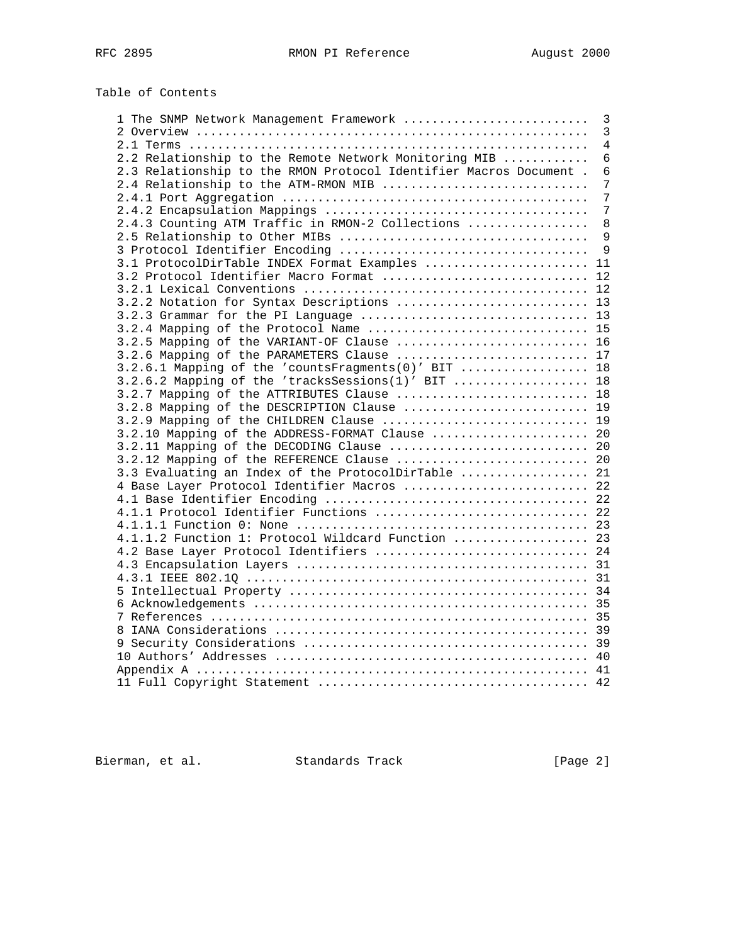# Table of Contents

| 1 The SNMP Network Management Framework                           | 3              |
|-------------------------------------------------------------------|----------------|
|                                                                   | 3              |
|                                                                   | $\overline{4}$ |
| 2.2 Relationship to the Remote Network Monitoring MIB             | $\overline{6}$ |
| 2.3 Relationship to the RMON Protocol Identifier Macros Document. | 6              |
| 2.4 Relationship to the ATM-RMON MIB                              | 7              |
|                                                                   | 7              |
|                                                                   | 7              |
| 2.4.3 Counting ATM Traffic in RMON-2 Collections                  | 8              |
|                                                                   | 9              |
|                                                                   | 9              |
| 3.1 ProtocolDirTable INDEX Format Examples  11                    |                |
| 3.2 Protocol Identifier Macro Format  12                          |                |
|                                                                   |                |
| 3.2.2 Notation for Syntax Descriptions  13                        |                |
| 3.2.3 Grammar for the PI Language  13                             |                |
|                                                                   |                |
| 3.2.5 Mapping of the VARIANT-OF Clause  16                        |                |
| 3.2.6 Mapping of the PARAMETERS Clause  17                        |                |
| 3.2.6.1 Mapping of the 'countsFragments(0)' BIT  18               |                |
| 3.2.6.2 Mapping of the 'tracksSessions(1)' BIT  18                |                |
| 3.2.7 Mapping of the ATTRIBUTES Clause  18                        |                |
| 3.2.8 Mapping of the DESCRIPTION Clause  19                       |                |
| 3.2.9 Mapping of the CHILDREN Clause  19                          |                |
| 3.2.10 Mapping of the ADDRESS-FORMAT Clause  20                   |                |
|                                                                   |                |
| 3.2.12 Mapping of the REFERENCE Clause  20                        |                |
| 3.3 Evaluating an Index of the ProtocolDirTable  21               |                |
| 4 Base Layer Protocol Identifier Macros  22                       |                |
|                                                                   |                |
| 4.1.1 Protocol Identifier Functions  22                           |                |
|                                                                   |                |
| 4.1.1.2 Function 1: Protocol Wildcard Function  23                |                |
| 4.2 Base Layer Protocol Identifiers  24                           |                |
|                                                                   |                |
|                                                                   |                |
|                                                                   |                |
|                                                                   |                |
|                                                                   |                |
|                                                                   |                |
|                                                                   |                |
|                                                                   |                |
|                                                                   |                |
|                                                                   |                |
|                                                                   |                |

Bierman, et al. Standards Track [Page 2]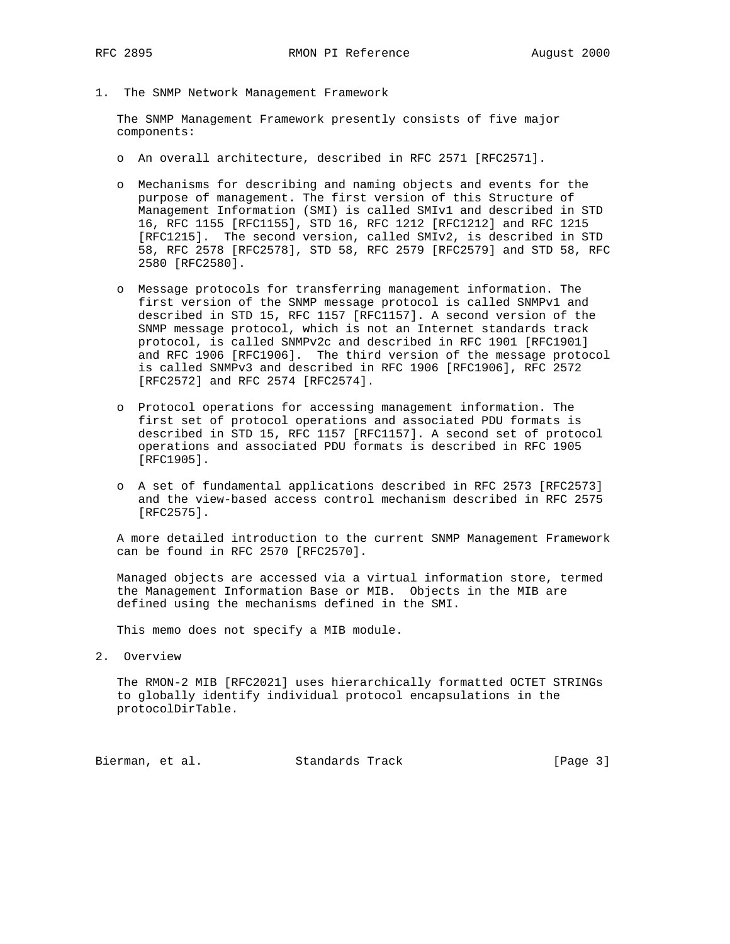1. The SNMP Network Management Framework

 The SNMP Management Framework presently consists of five major components:

- o An overall architecture, described in RFC 2571 [RFC2571].
- o Mechanisms for describing and naming objects and events for the purpose of management. The first version of this Structure of Management Information (SMI) is called SMIv1 and described in STD 16, RFC 1155 [RFC1155], STD 16, RFC 1212 [RFC1212] and RFC 1215 [RFC1215]. The second version, called SMIv2, is described in STD 58, RFC 2578 [RFC2578], STD 58, RFC 2579 [RFC2579] and STD 58, RFC 2580 [RFC2580].
- o Message protocols for transferring management information. The first version of the SNMP message protocol is called SNMPv1 and described in STD 15, RFC 1157 [RFC1157]. A second version of the SNMP message protocol, which is not an Internet standards track protocol, is called SNMPv2c and described in RFC 1901 [RFC1901] and RFC 1906 [RFC1906]. The third version of the message protocol is called SNMPv3 and described in RFC 1906 [RFC1906], RFC 2572 [RFC2572] and RFC 2574 [RFC2574].
- o Protocol operations for accessing management information. The first set of protocol operations and associated PDU formats is described in STD 15, RFC 1157 [RFC1157]. A second set of protocol operations and associated PDU formats is described in RFC 1905 [RFC1905].
- o A set of fundamental applications described in RFC 2573 [RFC2573] and the view-based access control mechanism described in RFC 2575 [RFC2575].

 A more detailed introduction to the current SNMP Management Framework can be found in RFC 2570 [RFC2570].

 Managed objects are accessed via a virtual information store, termed the Management Information Base or MIB. Objects in the MIB are defined using the mechanisms defined in the SMI.

This memo does not specify a MIB module.

2. Overview

 The RMON-2 MIB [RFC2021] uses hierarchically formatted OCTET STRINGs to globally identify individual protocol encapsulations in the protocolDirTable.

Bierman, et al. Standards Track [Page 3]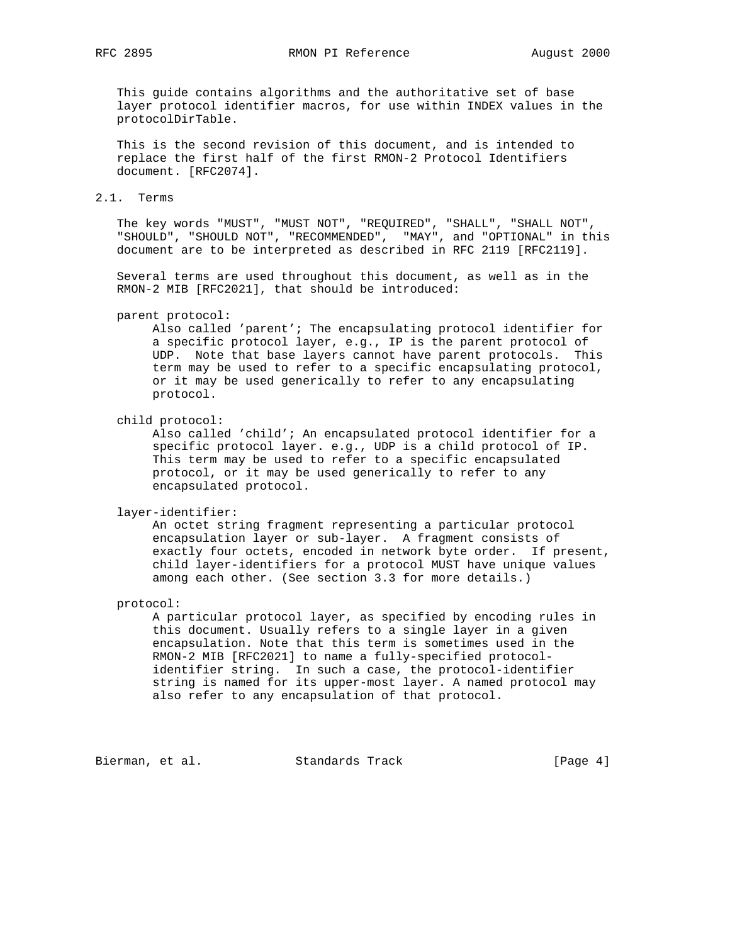This guide contains algorithms and the authoritative set of base layer protocol identifier macros, for use within INDEX values in the protocolDirTable.

 This is the second revision of this document, and is intended to replace the first half of the first RMON-2 Protocol Identifiers document. [RFC2074].

# 2.1. Terms

 The key words "MUST", "MUST NOT", "REQUIRED", "SHALL", "SHALL NOT", "SHOULD", "SHOULD NOT", "RECOMMENDED", "MAY", and "OPTIONAL" in this document are to be interpreted as described in RFC 2119 [RFC2119].

 Several terms are used throughout this document, as well as in the RMON-2 MIB [RFC2021], that should be introduced:

parent protocol:

 Also called 'parent'; The encapsulating protocol identifier for a specific protocol layer, e.g., IP is the parent protocol of UDP. Note that base layers cannot have parent protocols. This term may be used to refer to a specific encapsulating protocol, or it may be used generically to refer to any encapsulating protocol.

child protocol:

 Also called 'child'; An encapsulated protocol identifier for a specific protocol layer. e.g., UDP is a child protocol of IP. This term may be used to refer to a specific encapsulated protocol, or it may be used generically to refer to any encapsulated protocol.

layer-identifier:

 An octet string fragment representing a particular protocol encapsulation layer or sub-layer. A fragment consists of exactly four octets, encoded in network byte order. If present, child layer-identifiers for a protocol MUST have unique values among each other. (See section 3.3 for more details.)

protocol:

 A particular protocol layer, as specified by encoding rules in this document. Usually refers to a single layer in a given encapsulation. Note that this term is sometimes used in the RMON-2 MIB [RFC2021] to name a fully-specified protocol identifier string. In such a case, the protocol-identifier string is named for its upper-most layer. A named protocol may also refer to any encapsulation of that protocol.

Bierman, et al. Standards Track [Page 4]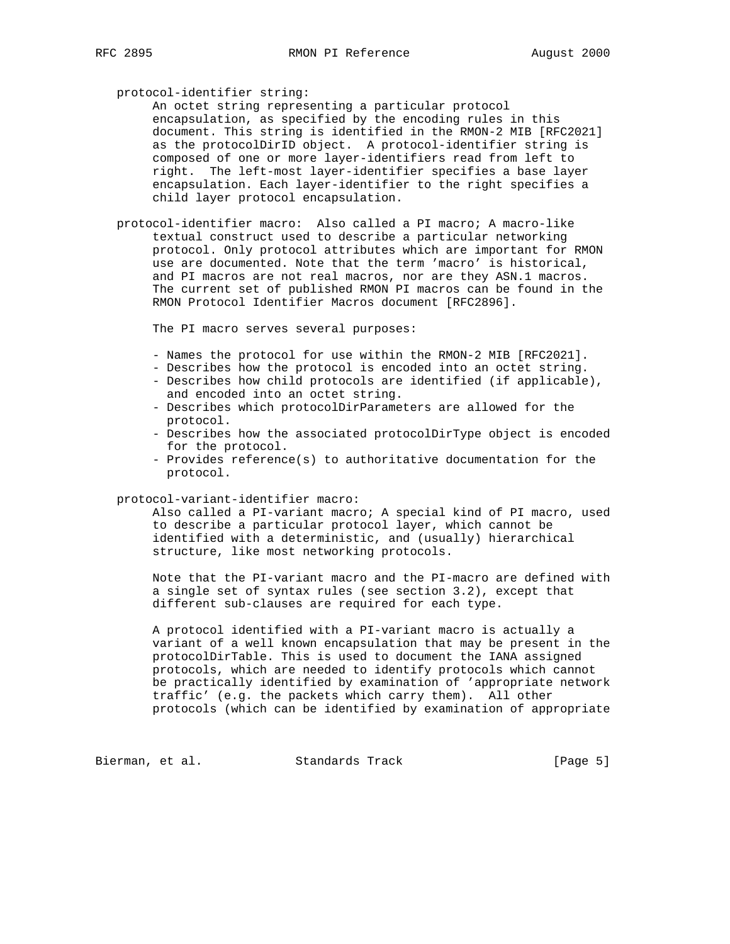# protocol-identifier string:

 An octet string representing a particular protocol encapsulation, as specified by the encoding rules in this document. This string is identified in the RMON-2 MIB [RFC2021] as the protocolDirID object. A protocol-identifier string is composed of one or more layer-identifiers read from left to right. The left-most layer-identifier specifies a base layer encapsulation. Each layer-identifier to the right specifies a child layer protocol encapsulation.

 protocol-identifier macro: Also called a PI macro; A macro-like textual construct used to describe a particular networking protocol. Only protocol attributes which are important for RMON use are documented. Note that the term 'macro' is historical, and PI macros are not real macros, nor are they ASN.1 macros. The current set of published RMON PI macros can be found in the RMON Protocol Identifier Macros document [RFC2896].

The PI macro serves several purposes:

- Names the protocol for use within the RMON-2 MIB [RFC2021].
- Describes how the protocol is encoded into an octet string.
- Describes how child protocols are identified (if applicable), and encoded into an octet string.
- Describes which protocolDirParameters are allowed for the protocol.
- Describes how the associated protocolDirType object is encoded for the protocol.
- Provides reference(s) to authoritative documentation for the protocol.

#### protocol-variant-identifier macro:

 Also called a PI-variant macro; A special kind of PI macro, used to describe a particular protocol layer, which cannot be identified with a deterministic, and (usually) hierarchical structure, like most networking protocols.

 Note that the PI-variant macro and the PI-macro are defined with a single set of syntax rules (see section 3.2), except that different sub-clauses are required for each type.

 A protocol identified with a PI-variant macro is actually a variant of a well known encapsulation that may be present in the protocolDirTable. This is used to document the IANA assigned protocols, which are needed to identify protocols which cannot be practically identified by examination of 'appropriate network traffic' (e.g. the packets which carry them). All other protocols (which can be identified by examination of appropriate

Bierman, et al. Standards Track [Page 5]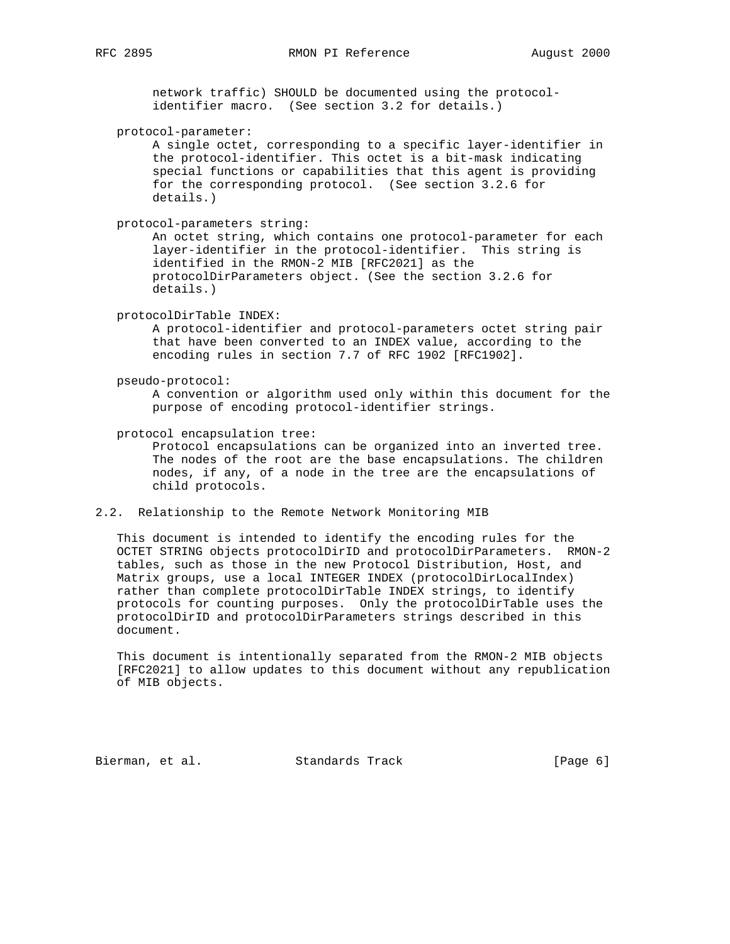network traffic) SHOULD be documented using the protocol identifier macro. (See section 3.2 for details.)

protocol-parameter:

 A single octet, corresponding to a specific layer-identifier in the protocol-identifier. This octet is a bit-mask indicating special functions or capabilities that this agent is providing for the corresponding protocol. (See section 3.2.6 for details.)

protocol-parameters string:

 An octet string, which contains one protocol-parameter for each layer-identifier in the protocol-identifier. This string is identified in the RMON-2 MIB [RFC2021] as the protocolDirParameters object. (See the section 3.2.6 for details.)

protocolDirTable INDEX:

 A protocol-identifier and protocol-parameters octet string pair that have been converted to an INDEX value, according to the encoding rules in section 7.7 of RFC 1902 [RFC1902].

pseudo-protocol:

 A convention or algorithm used only within this document for the purpose of encoding protocol-identifier strings.

protocol encapsulation tree:

 Protocol encapsulations can be organized into an inverted tree. The nodes of the root are the base encapsulations. The children nodes, if any, of a node in the tree are the encapsulations of child protocols.

2.2. Relationship to the Remote Network Monitoring MIB

 This document is intended to identify the encoding rules for the OCTET STRING objects protocolDirID and protocolDirParameters. RMON-2 tables, such as those in the new Protocol Distribution, Host, and Matrix groups, use a local INTEGER INDEX (protocolDirLocalIndex) rather than complete protocolDirTable INDEX strings, to identify protocols for counting purposes. Only the protocolDirTable uses the protocolDirID and protocolDirParameters strings described in this document.

 This document is intentionally separated from the RMON-2 MIB objects [RFC2021] to allow updates to this document without any republication of MIB objects.

Bierman, et al. Standards Track [Page 6]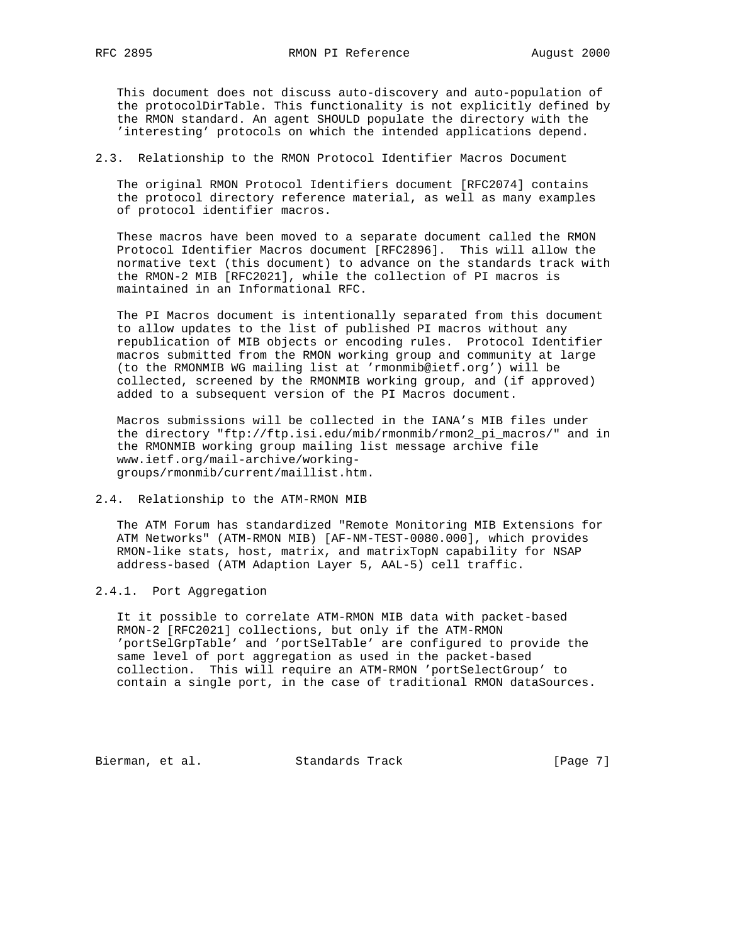This document does not discuss auto-discovery and auto-population of the protocolDirTable. This functionality is not explicitly defined by the RMON standard. An agent SHOULD populate the directory with the 'interesting' protocols on which the intended applications depend.

## 2.3. Relationship to the RMON Protocol Identifier Macros Document

 The original RMON Protocol Identifiers document [RFC2074] contains the protocol directory reference material, as well as many examples of protocol identifier macros.

 These macros have been moved to a separate document called the RMON Protocol Identifier Macros document [RFC2896]. This will allow the normative text (this document) to advance on the standards track with the RMON-2 MIB [RFC2021], while the collection of PI macros is maintained in an Informational RFC.

 The PI Macros document is intentionally separated from this document to allow updates to the list of published PI macros without any republication of MIB objects or encoding rules. Protocol Identifier macros submitted from the RMON working group and community at large (to the RMONMIB WG mailing list at 'rmonmib@ietf.org') will be collected, screened by the RMONMIB working group, and (if approved) added to a subsequent version of the PI Macros document.

 Macros submissions will be collected in the IANA's MIB files under the directory "ftp://ftp.isi.edu/mib/rmonmib/rmon2\_pi\_macros/" and in the RMONMIB working group mailing list message archive file www.ietf.org/mail-archive/working groups/rmonmib/current/maillist.htm.

#### 2.4. Relationship to the ATM-RMON MIB

 The ATM Forum has standardized "Remote Monitoring MIB Extensions for ATM Networks" (ATM-RMON MIB) [AF-NM-TEST-0080.000], which provides RMON-like stats, host, matrix, and matrixTopN capability for NSAP address-based (ATM Adaption Layer 5, AAL-5) cell traffic.

# 2.4.1. Port Aggregation

 It it possible to correlate ATM-RMON MIB data with packet-based RMON-2 [RFC2021] collections, but only if the ATM-RMON 'portSelGrpTable' and 'portSelTable' are configured to provide the same level of port aggregation as used in the packet-based collection. This will require an ATM-RMON 'portSelectGroup' to contain a single port, in the case of traditional RMON dataSources.

Bierman, et al. Standards Track [Page 7]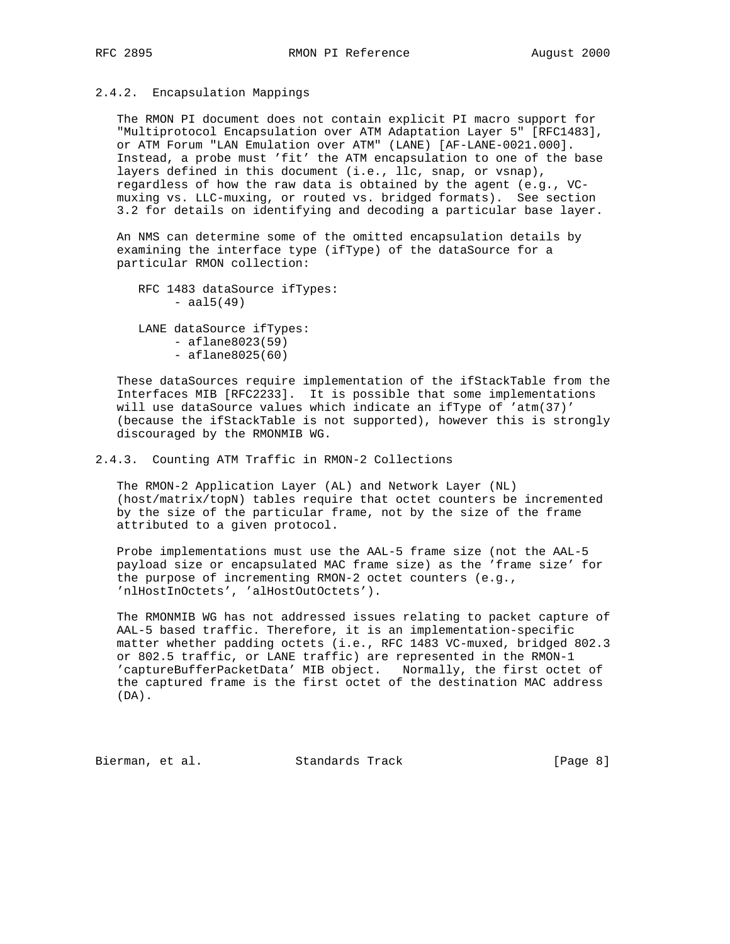#### 2.4.2. Encapsulation Mappings

 The RMON PI document does not contain explicit PI macro support for "Multiprotocol Encapsulation over ATM Adaptation Layer 5" [RFC1483], or ATM Forum "LAN Emulation over ATM" (LANE) [AF-LANE-0021.000]. Instead, a probe must 'fit' the ATM encapsulation to one of the base layers defined in this document (i.e., llc, snap, or vsnap), regardless of how the raw data is obtained by the agent (e.g., VC muxing vs. LLC-muxing, or routed vs. bridged formats). See section 3.2 for details on identifying and decoding a particular base layer.

 An NMS can determine some of the omitted encapsulation details by examining the interface type (ifType) of the dataSource for a particular RMON collection:

 RFC 1483 dataSource ifTypes: - aal5(49) LANE dataSource ifTypes: - aflane8023(59) - aflane8025(60)

 These dataSources require implementation of the ifStackTable from the Interfaces MIB [RFC2233]. It is possible that some implementations will use dataSource values which indicate an ifType of 'atm(37)' (because the ifStackTable is not supported), however this is strongly discouraged by the RMONMIB WG.

2.4.3. Counting ATM Traffic in RMON-2 Collections

 The RMON-2 Application Layer (AL) and Network Layer (NL) (host/matrix/topN) tables require that octet counters be incremented by the size of the particular frame, not by the size of the frame attributed to a given protocol.

 Probe implementations must use the AAL-5 frame size (not the AAL-5 payload size or encapsulated MAC frame size) as the 'frame size' for the purpose of incrementing RMON-2 octet counters (e.g., 'nlHostInOctets', 'alHostOutOctets').

 The RMONMIB WG has not addressed issues relating to packet capture of AAL-5 based traffic. Therefore, it is an implementation-specific matter whether padding octets (i.e., RFC 1483 VC-muxed, bridged 802.3 or 802.5 traffic, or LANE traffic) are represented in the RMON-1 'captureBufferPacketData' MIB object. Normally, the first octet of the captured frame is the first octet of the destination MAC address (DA).

Bierman, et al. Standards Track [Page 8]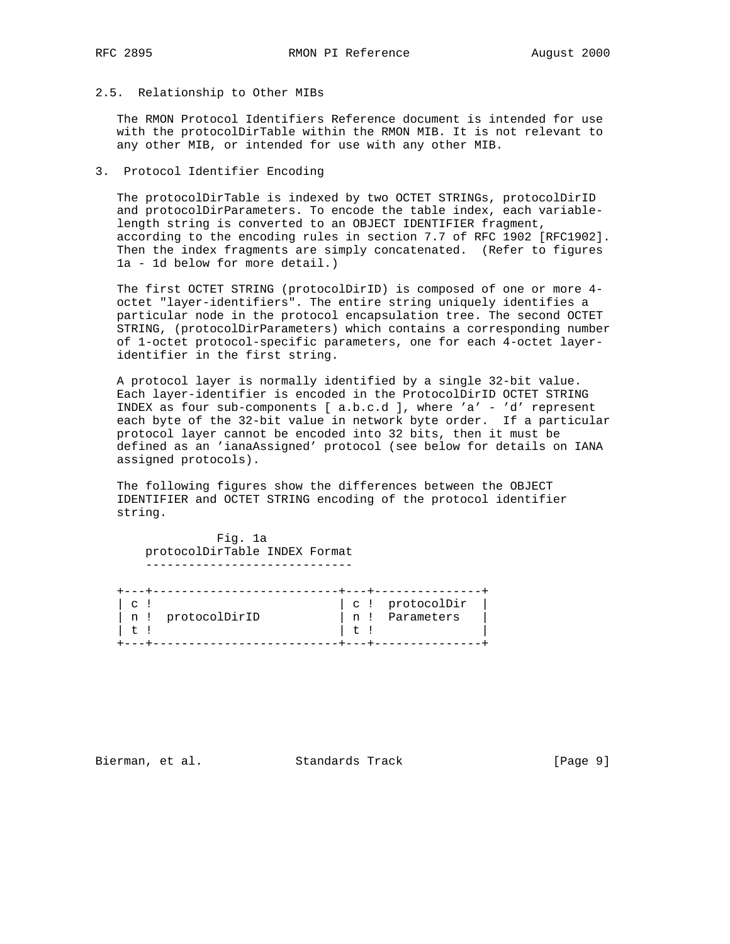#### 2.5. Relationship to Other MIBs

 The RMON Protocol Identifiers Reference document is intended for use with the protocolDirTable within the RMON MIB. It is not relevant to any other MIB, or intended for use with any other MIB.

#### 3. Protocol Identifier Encoding

 The protocolDirTable is indexed by two OCTET STRINGs, protocolDirID and protocolDirParameters. To encode the table index, each variable length string is converted to an OBJECT IDENTIFIER fragment, according to the encoding rules in section 7.7 of RFC 1902 [RFC1902]. Then the index fragments are simply concatenated. (Refer to figures 1a - 1d below for more detail.)

 The first OCTET STRING (protocolDirID) is composed of one or more 4 octet "layer-identifiers". The entire string uniquely identifies a particular node in the protocol encapsulation tree. The second OCTET STRING, (protocolDirParameters) which contains a corresponding number of 1-octet protocol-specific parameters, one for each 4-octet layer identifier in the first string.

 A protocol layer is normally identified by a single 32-bit value. Each layer-identifier is encoded in the ProtocolDirID OCTET STRING INDEX as four sub-components [ a.b.c.d ], where 'a' - 'd' represent each byte of the 32-bit value in network byte order. If a particular protocol layer cannot be encoded into 32 bits, then it must be defined as an 'ianaAssigned' protocol (see below for details on IANA assigned protocols).

 The following figures show the differences between the OBJECT IDENTIFIER and OCTET STRING encoding of the protocol identifier string.

 Fig. 1a protocolDirTable INDEX Format -----------------------------

| $\sim$               | c ! protocolDir   |
|----------------------|-------------------|
| protocolDirID<br>n ! | ! Parameters<br>n |
|                      |                   |

Bierman, et al. Standards Track [Page 9]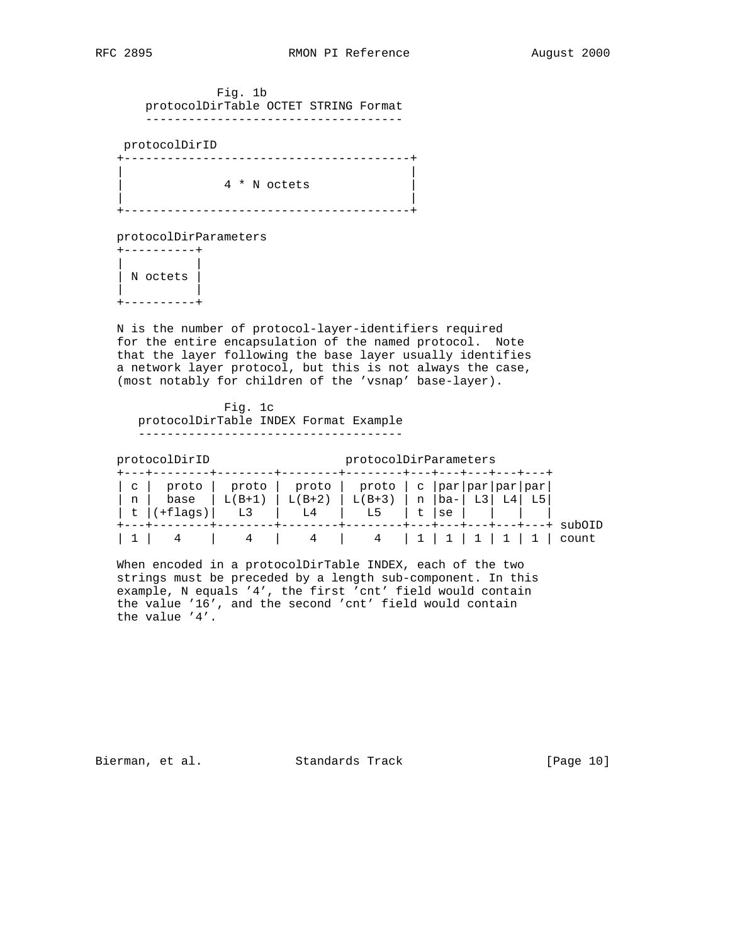Fig. 1b protocolDirTable OCTET STRING Format

------------------------------------

 protocolDirID +----------------------------------------+ | | 4 \* N octets | | +----------------------------------------+ protocolDirParameters

 +----------+ | | | N octets | | | +----------+

> N is the number of protocol-layer-identifiers required for the entire encapsulation of the named protocol. Note that the layer following the base layer usually identifies a network layer protocol, but this is not always the case, (most notably for children of the 'vsnap' base-layer).

 Fig. 1c protocolDirTable INDEX Format Example -------------------------------------

# protocolDirID protocolDirParameters

|  | c   proto   proto   proto   proto   c   par   par   par   par                   |  |  |  |  |  |
|--|---------------------------------------------------------------------------------|--|--|--|--|--|
|  | $n$   base   $L(B+1)$   $L(B+2)$   $L(B+3)$   $n$   $ba -$   $L3$   $L4$   $L5$ |  |  |  |  |  |
|  | t $ (+flags) $ L3   L4   L5   t   se                                            |  |  |  |  |  |
|  |                                                                                 |  |  |  |  |  |
|  | $1   4   4   4   4   4   1   1   1   1   1   count$                             |  |  |  |  |  |

 When encoded in a protocolDirTable INDEX, each of the two strings must be preceded by a length sub-component. In this example, N equals '4', the first 'cnt' field would contain the value '16', and the second 'cnt' field would contain the value '4'.

Bierman, et al. Standards Track [Page 10]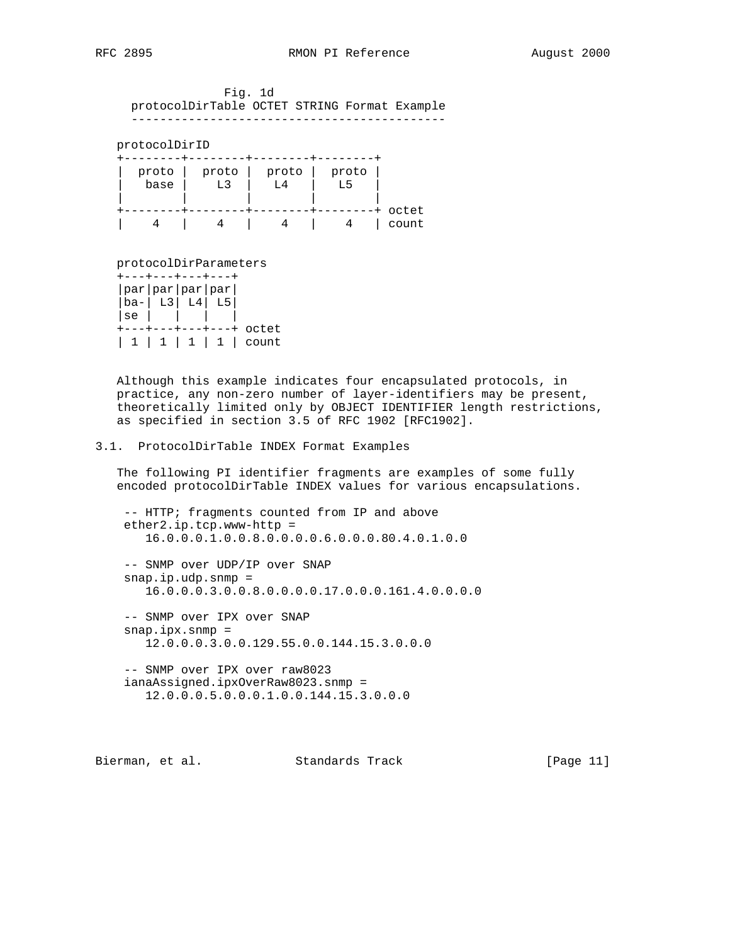Fig. 1d protocolDirTable OCTET STRING Format Example

--------------------------------------------

protocolDirID

|                | proto<br>T.5 | proto | proto | proto<br>base |  |
|----------------|--------------|-------|-------|---------------|--|
| octet<br>count |              |       |       |               |  |

protocolDirParameters

|    |  | +---+---+---+---+                       |                                                    |
|----|--|-----------------------------------------|----------------------------------------------------|
|    |  | par par par par <br>$ ba-  L3  L4  L5 $ |                                                    |
| se |  |                                         |                                                    |
|    |  |                                         | +---+---+---+---+ octet<br>  1   1   1   1   count |

 Although this example indicates four encapsulated protocols, in practice, any non-zero number of layer-identifiers may be present, theoretically limited only by OBJECT IDENTIFIER length restrictions, as specified in section 3.5 of RFC 1902 [RFC1902].

### 3.1. ProtocolDirTable INDEX Format Examples

 The following PI identifier fragments are examples of some fully encoded protocolDirTable INDEX values for various encapsulations.

 -- HTTP; fragments counted from IP and above ether2.ip.tcp.www-http = 16.0.0.0.1.0.0.8.0.0.0.0.6.0.0.0.80.4.0.1.0.0 -- SNMP over UDP/IP over SNAP snap.ip.udp.snmp = 16.0.0.0.3.0.0.8.0.0.0.0.17.0.0.0.161.4.0.0.0.0 -- SNMP over IPX over SNAP snap.ipx.snmp = 12.0.0.0.3.0.0.129.55.0.0.144.15.3.0.0.0 -- SNMP over IPX over raw8023 ianaAssigned.ipxOverRaw8023.snmp = 12.0.0.0.5.0.0.0.1.0.0.144.15.3.0.0.0

Bierman, et al. Standards Track [Page 11]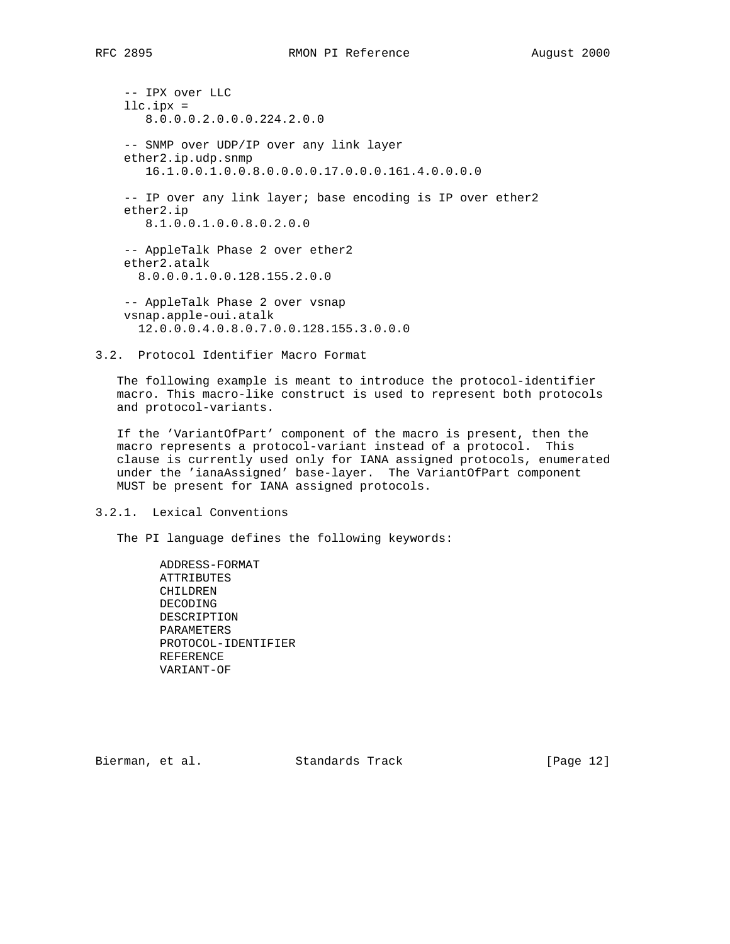-- IPX over LLC llc.ipx = 8.0.0.0.2.0.0.0.224.2.0.0 -- SNMP over UDP/IP over any link layer ether2.ip.udp.snmp 16.1.0.0.1.0.0.8.0.0.0.0.17.0.0.0.161.4.0.0.0.0 -- IP over any link layer; base encoding is IP over ether2 ether2.ip 8.1.0.0.1.0.0.8.0.2.0.0 -- AppleTalk Phase 2 over ether2 ether2.atalk 8.0.0.0.1.0.0.128.155.2.0.0 -- AppleTalk Phase 2 over vsnap vsnap.apple-oui.atalk 12.0.0.0.4.0.8.0.7.0.0.128.155.3.0.0.0

3.2. Protocol Identifier Macro Format

 The following example is meant to introduce the protocol-identifier macro. This macro-like construct is used to represent both protocols and protocol-variants.

 If the 'VariantOfPart' component of the macro is present, then the macro represents a protocol-variant instead of a protocol. This clause is currently used only for IANA assigned protocols, enumerated under the 'ianaAssigned' base-layer. The VariantOfPart component MUST be present for IANA assigned protocols.

3.2.1. Lexical Conventions

The PI language defines the following keywords:

 ADDRESS-FORMAT ATTRIBUTES CHILDREN DECODING DESCRIPTION PARAMETERS PROTOCOL-IDENTIFIER REFERENCE VARIANT-OF

Bierman, et al. Standards Track [Page 12]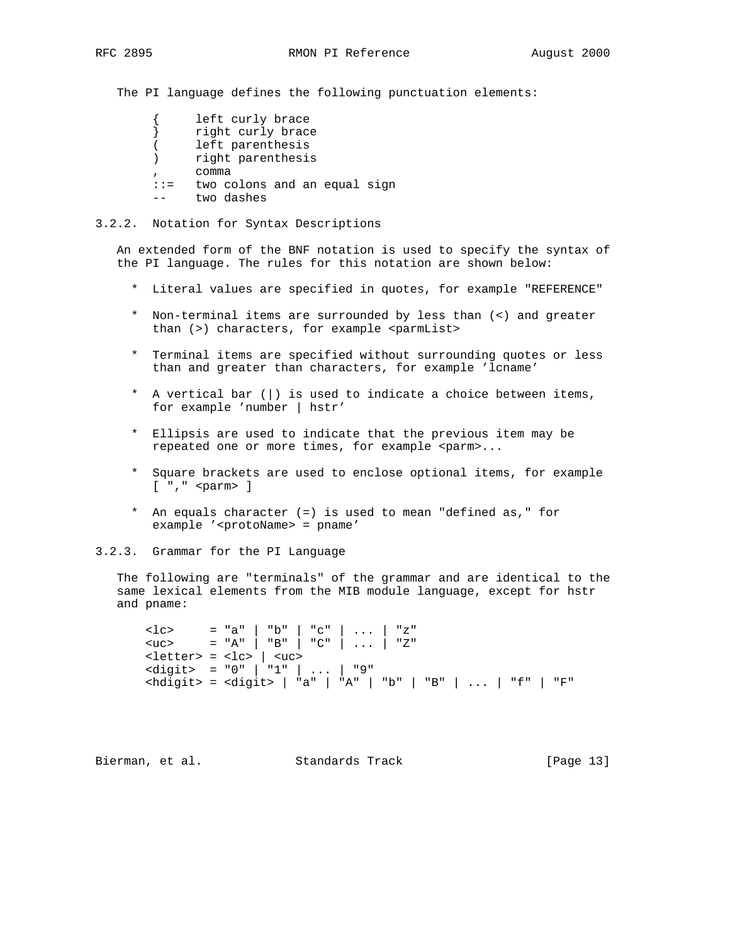The PI language defines the following punctuation elements:

left curly brace } right curly brace ( left parenthesis ) right parenthesis , comma ::= two colons and an equal sign -- two dashes

#### 3.2.2. Notation for Syntax Descriptions

 An extended form of the BNF notation is used to specify the syntax of the PI language. The rules for this notation are shown below:

- \* Literal values are specified in quotes, for example "REFERENCE"
- \* Non-terminal items are surrounded by less than (<) and greater than (>) characters, for example <parmList>
- \* Terminal items are specified without surrounding quotes or less than and greater than characters, for example 'lcname'
- \* A vertical bar (|) is used to indicate a choice between items, for example 'number | hstr'
- \* Ellipsis are used to indicate that the previous item may be repeated one or more times, for example <parm>...
- \* Square brackets are used to enclose optional items, for example [  $"$ ,  $"$  <parm> ]
- \* An equals character (=) is used to mean "defined as," for example '<protoName> = pname'
- 3.2.3. Grammar for the PI Language

 The following are "terminals" of the grammar and are identical to the same lexical elements from the MIB module language, except for hstr and pname:

 <lc> = "a" | "b" | "c" | ... | "z" <uc> = "A" | "B" | "C" | ... | "Z" <letter> = <lc> | <uc> <digit> = "0" | "1" | ... | "9" <hdigit> = <digit> | "a" | "A" | "b" | "B" | ... | "f" | "F"

Bierman, et al. Standards Track [Page 13]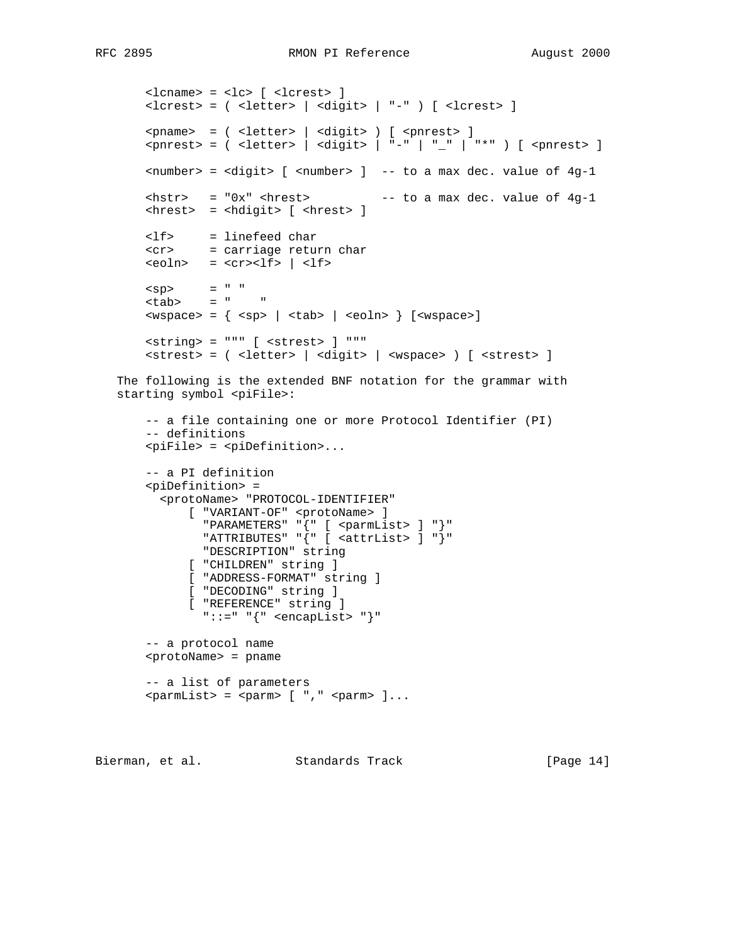```
 <lcname> = <lc> [ <lcrest> ]
           <lcrest> = ( <letter> | <digit> | "-" ) [ <lcrest> ]
 <pname> = ( <letter> | <digit> ) [ <pnrest> ]
<pnrest> = ( <letter> | <digit> | "-" | "_" | "*" ) [ <pnrest> ]
           <number> = <digit> [ <number> ] -- to a max dec. value of 4g-1
          {\triangleleft} = "0x" {\triangleleft} {\triangleleft} - to a max dec. value of 4g-1
           <hrest> = <hdigit> [ <hrest> ]
 <lf> = linefeed char
 <cr> = carriage return char
          \text{1} \text{1} \text{1} \text{1} \text{1} \text{1} \text{1} \text{1} \text{1} \text{1} \text{1} \text{1} \text{1} \text{1} \text{1} \text{1} \text{1} \text{1} \text{1} \text{1} \text{1} \text{1} \text{1} \text{1} \text{1} \text{1} \text{1} \text{1<sup>2</sup> <sup>2</sup> <sup>3</sup> <sup>4</sup> <sup>5</sup> <sup>6</sup> <sup>7</sup> <sup>8</sup> <sup>8</sup> <sup>9</sup> <sup>9</sup> <sup>9</sup> <sup>10</sup> <sup>11</sup> <sup>12</sup> <sup>13</sup> <sup>14</sup> <sup>15</sup> <sup>16</sup> <sup>16</sup> <sup>17</sup> <</sup></sup></sup></sup></sup></sup></sup></sup></sup></sup></sup></sup></sup></sup></sup></sup></sup></sup></sup></sup></sup>
          <tab> = " "
          \langle <wspace> = { \langle <sp> | \langle <tab> | \langle eoln> } [\langle \expace>]
           <string> = """ [ <strest> ] """
           <strest> = ( <letter> | <digit> | <wspace> ) [ <strest> ]
     The following is the extended BNF notation for the grammar with
    starting symbol <piFile>:
           -- a file containing one or more Protocol Identifier (PI)
           -- definitions
           <piFile> = <piDefinition>...
           -- a PI definition
           <piDefinition> =
              <protoName> "PROTOCOL-IDENTIFIER"
                     [ "VARIANT-OF" <protoName> ]
                      "PARAMETERS" "{\n    " | " [ <paramList> ] " }""ATTRIBUTES" "\{" [ <attrList> ] "\}"
                       "DESCRIPTION" string
                     [ "CHILDREN" string ]
                     [ "ADDRESS-FORMAT" string ]
                     [ "DECODING" string ]
                     [ "REFERENCE" string ]
                      "::="" " <encapList> " -- a protocol name
           <protoName> = pname
           -- a list of parameters
          \epsilon <parmList> = <parm> [ "," <parm> ]...
```
Bierman, et al. Standards Track [Page 14]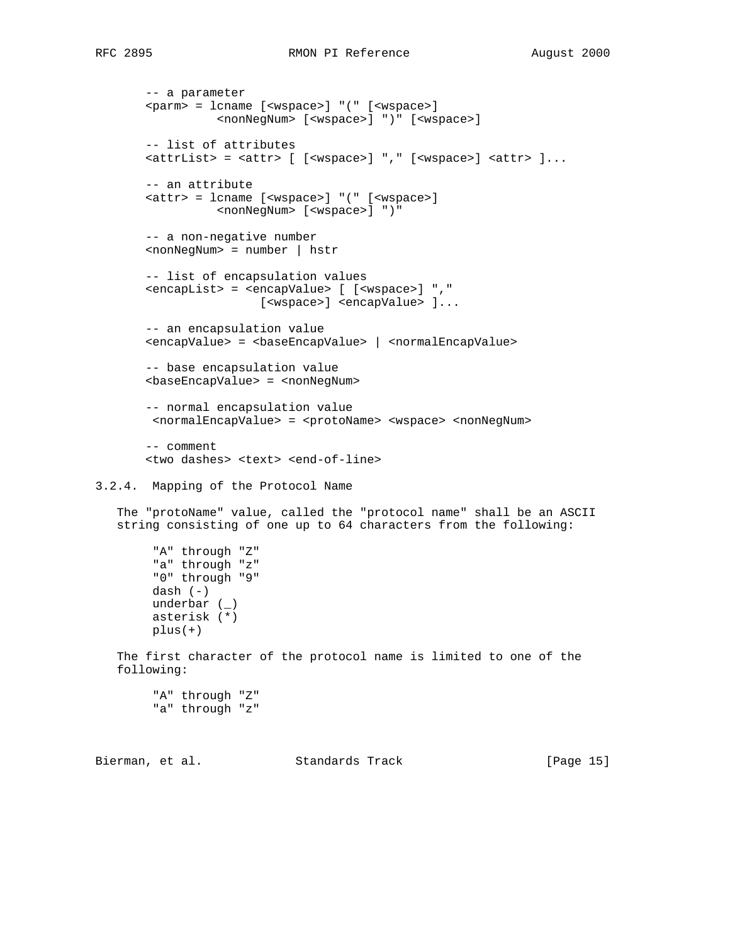```
 -- a parameter
        <parm> = lcname [<wspace>] "(" [<wspace>]
                  <nonNegNum> [<wspace>] ")" [<wspace>]
        -- list of attributes
        <attrList> = <attr> [ [<wspace>] "," [<wspace>] <attr> ]...
        -- an attribute
        <attr> = lcname [<wspace>] "(" [<wspace>]
                  <nonNegNum> [<wspace>] ")"
        -- a non-negative number
        <nonNegNum> = number | hstr
        -- list of encapsulation values
        <encapList> = <encapValue> [ [<wspace>] ","
                        [<wspace>] <encapValue> ]...
        -- an encapsulation value
        <encapValue> = <baseEncapValue> | <normalEncapValue>
        -- base encapsulation value
        <baseEncapValue> = <nonNegNum>
        -- normal encapsulation value
         <normalEncapValue> = <protoName> <wspace> <nonNegNum>
        -- comment
        <two dashes> <text> <end-of-line>
3.2.4. Mapping of the Protocol Name
    The "protoName" value, called the "protocol name" shall be an ASCII
    string consisting of one up to 64 characters from the following:
         "A" through "Z"
         "a" through "z"
         "0" through "9"
        dash (-)underbar ()
         asterisk (*)
         plus(+)
    The first character of the protocol name is limited to one of the
    following:
         "A" through "Z"
         "a" through "z"
```
Bierman, et al. Standards Track [Page 15]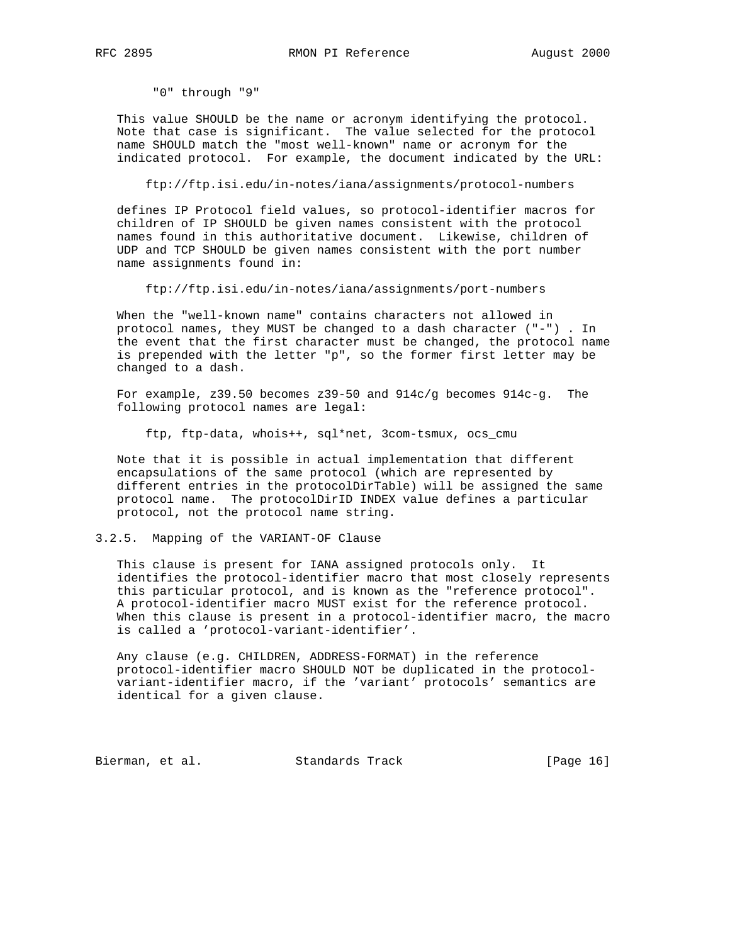"0" through "9"

 This value SHOULD be the name or acronym identifying the protocol. Note that case is significant. The value selected for the protocol name SHOULD match the "most well-known" name or acronym for the indicated protocol. For example, the document indicated by the URL:

ftp://ftp.isi.edu/in-notes/iana/assignments/protocol-numbers

 defines IP Protocol field values, so protocol-identifier macros for children of IP SHOULD be given names consistent with the protocol names found in this authoritative document. Likewise, children of UDP and TCP SHOULD be given names consistent with the port number name assignments found in:

ftp://ftp.isi.edu/in-notes/iana/assignments/port-numbers

 When the "well-known name" contains characters not allowed in protocol names, they MUST be changed to a dash character ("-") . In the event that the first character must be changed, the protocol name is prepended with the letter "p", so the former first letter may be changed to a dash.

 For example, z39.50 becomes z39-50 and 914c/g becomes 914c-g. The following protocol names are legal:

ftp, ftp-data, whois++, sql\*net, 3com-tsmux, ocs\_cmu

 Note that it is possible in actual implementation that different encapsulations of the same protocol (which are represented by different entries in the protocolDirTable) will be assigned the same protocol name. The protocolDirID INDEX value defines a particular protocol, not the protocol name string.

3.2.5. Mapping of the VARIANT-OF Clause

 This clause is present for IANA assigned protocols only. It identifies the protocol-identifier macro that most closely represents this particular protocol, and is known as the "reference protocol". A protocol-identifier macro MUST exist for the reference protocol. When this clause is present in a protocol-identifier macro, the macro is called a 'protocol-variant-identifier'.

 Any clause (e.g. CHILDREN, ADDRESS-FORMAT) in the reference protocol-identifier macro SHOULD NOT be duplicated in the protocol variant-identifier macro, if the 'variant' protocols' semantics are identical for a given clause.

Bierman, et al. Standards Track [Page 16]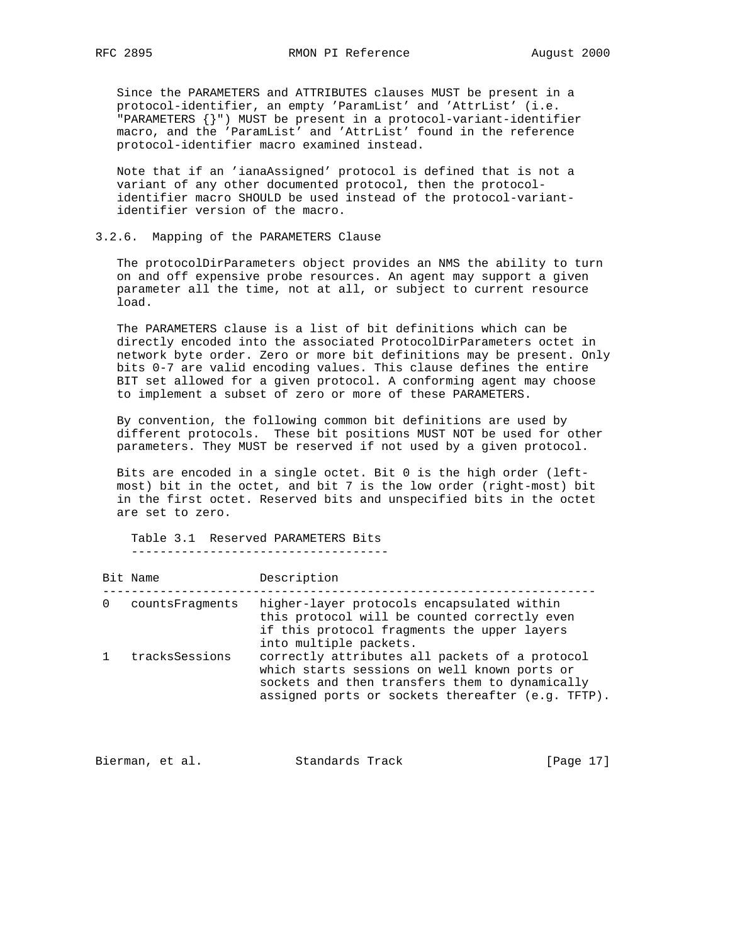Since the PARAMETERS and ATTRIBUTES clauses MUST be present in a protocol-identifier, an empty 'ParamList' and 'AttrList' (i.e. "PARAMETERS {}") MUST be present in a protocol-variant-identifier macro, and the 'ParamList' and 'AttrList' found in the reference protocol-identifier macro examined instead.

 Note that if an 'ianaAssigned' protocol is defined that is not a variant of any other documented protocol, then the protocol identifier macro SHOULD be used instead of the protocol-variant identifier version of the macro.

#### 3.2.6. Mapping of the PARAMETERS Clause

 The protocolDirParameters object provides an NMS the ability to turn on and off expensive probe resources. An agent may support a given parameter all the time, not at all, or subject to current resource load.

 The PARAMETERS clause is a list of bit definitions which can be directly encoded into the associated ProtocolDirParameters octet in network byte order. Zero or more bit definitions may be present. Only bits 0-7 are valid encoding values. This clause defines the entire BIT set allowed for a given protocol. A conforming agent may choose to implement a subset of zero or more of these PARAMETERS.

 By convention, the following common bit definitions are used by different protocols. These bit positions MUST NOT be used for other parameters. They MUST be reserved if not used by a given protocol.

 Bits are encoded in a single octet. Bit 0 is the high order (left most) bit in the octet, and bit 7 is the low order (right-most) bit in the first octet. Reserved bits and unspecified bits in the octet are set to zero.

Table 3.1 Reserved PARAMETERS Bits

------------------------------------

| Bit Name        | Description                                                                                                                                                                                           |
|-----------------|-------------------------------------------------------------------------------------------------------------------------------------------------------------------------------------------------------|
| countsFragments | higher-layer protocols encapsulated within<br>this protocol will be counted correctly even<br>if this protocol fragments the upper layers<br>into multiple packets.                                   |
| tracksSessions  | correctly attributes all packets of a protocol<br>which starts sessions on well known ports or<br>sockets and then transfers them to dynamically<br>assigned ports or sockets thereafter (e.g. TFTP). |

| Bierman, et al.<br>Standards Track | [Page 17] |  |
|------------------------------------|-----------|--|
|------------------------------------|-----------|--|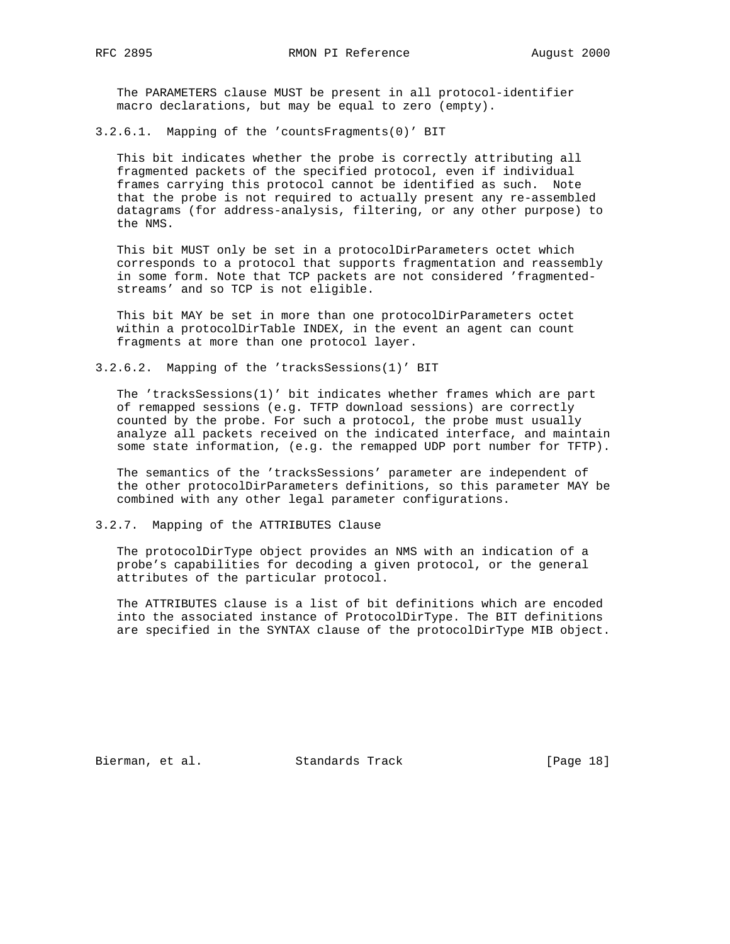The PARAMETERS clause MUST be present in all protocol-identifier macro declarations, but may be equal to zero (empty).

3.2.6.1. Mapping of the 'countsFragments(0)' BIT

 This bit indicates whether the probe is correctly attributing all fragmented packets of the specified protocol, even if individual frames carrying this protocol cannot be identified as such. Note that the probe is not required to actually present any re-assembled datagrams (for address-analysis, filtering, or any other purpose) to the NMS.

 This bit MUST only be set in a protocolDirParameters octet which corresponds to a protocol that supports fragmentation and reassembly in some form. Note that TCP packets are not considered 'fragmented streams' and so TCP is not eligible.

 This bit MAY be set in more than one protocolDirParameters octet within a protocolDirTable INDEX, in the event an agent can count fragments at more than one protocol layer.

3.2.6.2. Mapping of the 'tracksSessions(1)' BIT

 The 'tracksSessions(1)' bit indicates whether frames which are part of remapped sessions (e.g. TFTP download sessions) are correctly counted by the probe. For such a protocol, the probe must usually analyze all packets received on the indicated interface, and maintain some state information, (e.g. the remapped UDP port number for TFTP).

 The semantics of the 'tracksSessions' parameter are independent of the other protocolDirParameters definitions, so this parameter MAY be combined with any other legal parameter configurations.

3.2.7. Mapping of the ATTRIBUTES Clause

 The protocolDirType object provides an NMS with an indication of a probe's capabilities for decoding a given protocol, or the general attributes of the particular protocol.

 The ATTRIBUTES clause is a list of bit definitions which are encoded into the associated instance of ProtocolDirType. The BIT definitions are specified in the SYNTAX clause of the protocolDirType MIB object.

Bierman, et al. Standards Track [Page 18]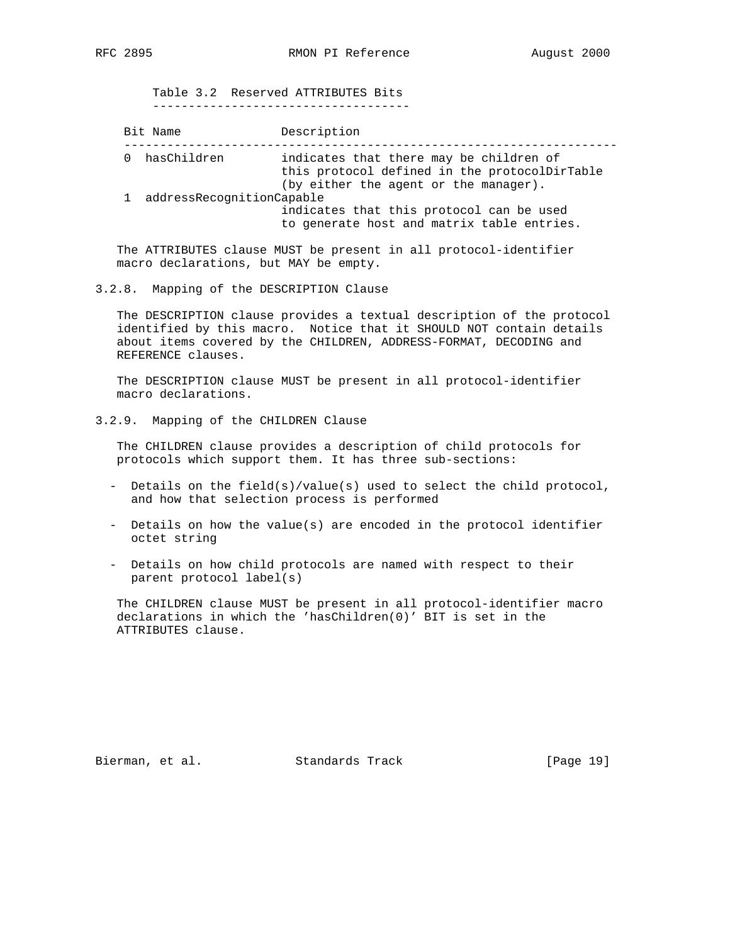Table 3.2 Reserved ATTRIBUTES Bits ------------------------------------

|              | Bit Name                  | Description                                                                                                                       |
|--------------|---------------------------|-----------------------------------------------------------------------------------------------------------------------------------|
| $\Omega$     | hasChildren               | indicates that there may be children of<br>this protocol defined in the protocolDirTable<br>(by either the agent or the manager). |
| $\mathbf{1}$ | addressRecognitionCapable | indicates that this protocol can be used<br>to generate host and matrix table entries.                                            |

 The ATTRIBUTES clause MUST be present in all protocol-identifier macro declarations, but MAY be empty.

#### 3.2.8. Mapping of the DESCRIPTION Clause

 The DESCRIPTION clause provides a textual description of the protocol identified by this macro. Notice that it SHOULD NOT contain details about items covered by the CHILDREN, ADDRESS-FORMAT, DECODING and REFERENCE clauses.

 The DESCRIPTION clause MUST be present in all protocol-identifier macro declarations.

3.2.9. Mapping of the CHILDREN Clause

 The CHILDREN clause provides a description of child protocols for protocols which support them. It has three sub-sections:

- Details on the field(s)/value(s) used to select the child protocol, and how that selection process is performed
- Details on how the value(s) are encoded in the protocol identifier octet string
- Details on how child protocols are named with respect to their parent protocol label(s)

 The CHILDREN clause MUST be present in all protocol-identifier macro declarations in which the 'hasChildren(0)' BIT is set in the ATTRIBUTES clause.

Bierman, et al. Standards Track [Page 19]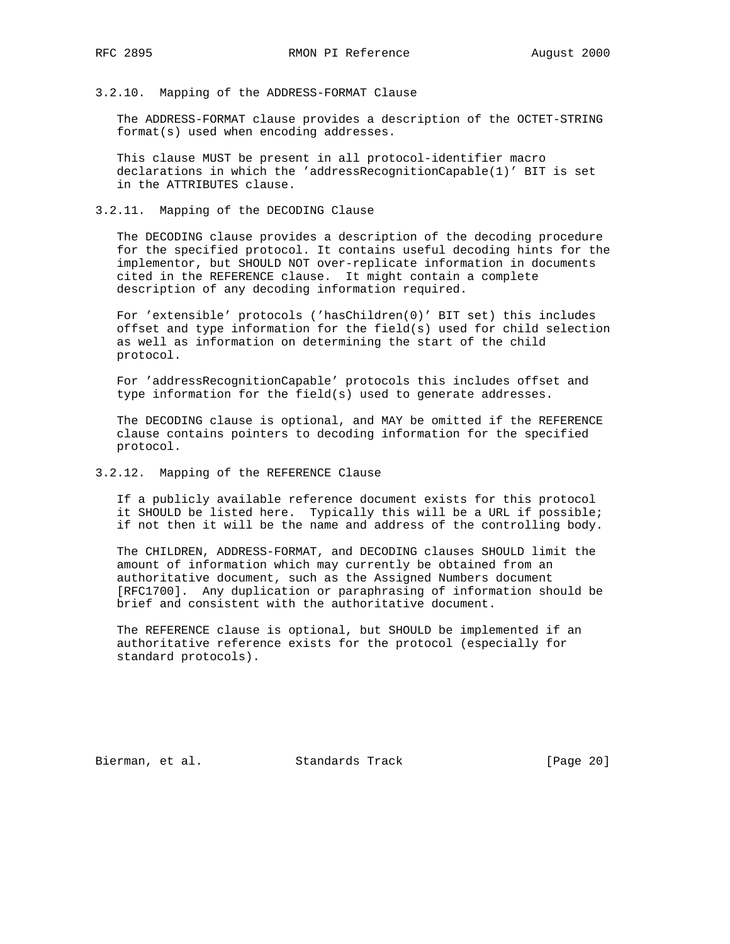# 3.2.10. Mapping of the ADDRESS-FORMAT Clause

 The ADDRESS-FORMAT clause provides a description of the OCTET-STRING format(s) used when encoding addresses.

 This clause MUST be present in all protocol-identifier macro declarations in which the 'addressRecognitionCapable(1)' BIT is set in the ATTRIBUTES clause.

# 3.2.11. Mapping of the DECODING Clause

 The DECODING clause provides a description of the decoding procedure for the specified protocol. It contains useful decoding hints for the implementor, but SHOULD NOT over-replicate information in documents cited in the REFERENCE clause. It might contain a complete description of any decoding information required.

 For 'extensible' protocols ('hasChildren(0)' BIT set) this includes offset and type information for the field(s) used for child selection as well as information on determining the start of the child protocol.

 For 'addressRecognitionCapable' protocols this includes offset and type information for the field(s) used to generate addresses.

 The DECODING clause is optional, and MAY be omitted if the REFERENCE clause contains pointers to decoding information for the specified protocol.

#### 3.2.12. Mapping of the REFERENCE Clause

 If a publicly available reference document exists for this protocol it SHOULD be listed here. Typically this will be a URL if possible; if not then it will be the name and address of the controlling body.

 The CHILDREN, ADDRESS-FORMAT, and DECODING clauses SHOULD limit the amount of information which may currently be obtained from an authoritative document, such as the Assigned Numbers document [RFC1700]. Any duplication or paraphrasing of information should be brief and consistent with the authoritative document.

 The REFERENCE clause is optional, but SHOULD be implemented if an authoritative reference exists for the protocol (especially for standard protocols).

Bierman, et al. Standards Track [Page 20]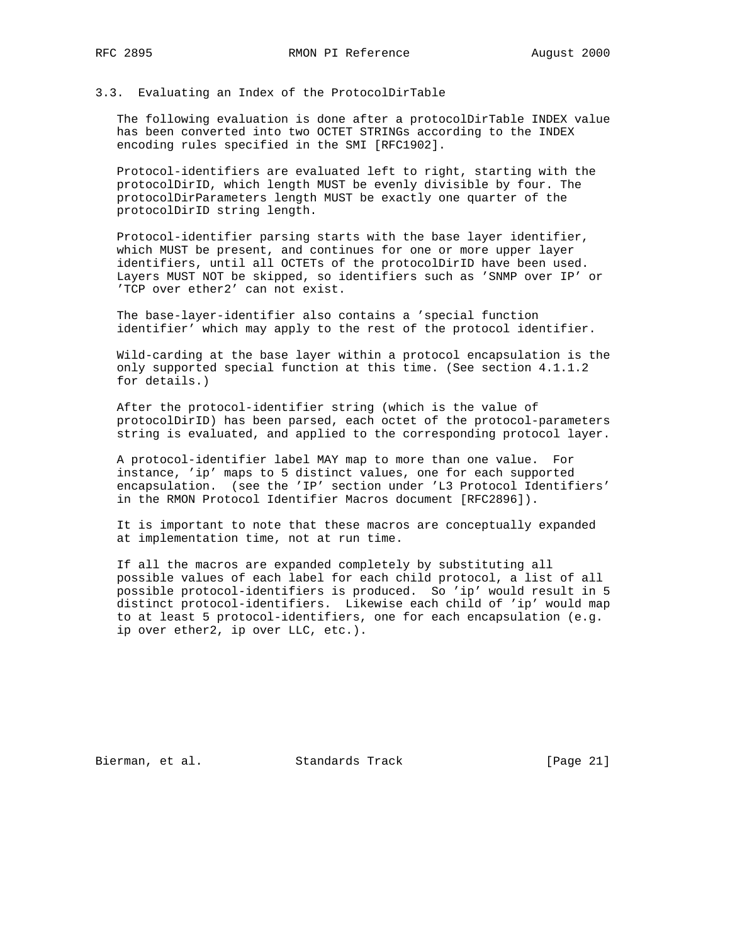## 3.3. Evaluating an Index of the ProtocolDirTable

 The following evaluation is done after a protocolDirTable INDEX value has been converted into two OCTET STRINGs according to the INDEX encoding rules specified in the SMI [RFC1902].

 Protocol-identifiers are evaluated left to right, starting with the protocolDirID, which length MUST be evenly divisible by four. The protocolDirParameters length MUST be exactly one quarter of the protocolDirID string length.

 Protocol-identifier parsing starts with the base layer identifier, which MUST be present, and continues for one or more upper layer identifiers, until all OCTETs of the protocolDirID have been used. Layers MUST NOT be skipped, so identifiers such as 'SNMP over IP' or 'TCP over ether2' can not exist.

 The base-layer-identifier also contains a 'special function identifier' which may apply to the rest of the protocol identifier.

 Wild-carding at the base layer within a protocol encapsulation is the only supported special function at this time. (See section 4.1.1.2 for details.)

 After the protocol-identifier string (which is the value of protocolDirID) has been parsed, each octet of the protocol-parameters string is evaluated, and applied to the corresponding protocol layer.

 A protocol-identifier label MAY map to more than one value. For instance, 'ip' maps to 5 distinct values, one for each supported encapsulation. (see the 'IP' section under 'L3 Protocol Identifiers' in the RMON Protocol Identifier Macros document [RFC2896]).

 It is important to note that these macros are conceptually expanded at implementation time, not at run time.

 If all the macros are expanded completely by substituting all possible values of each label for each child protocol, a list of all possible protocol-identifiers is produced. So 'ip' would result in 5 distinct protocol-identifiers. Likewise each child of 'ip' would map to at least 5 protocol-identifiers, one for each encapsulation (e.g. ip over ether2, ip over LLC, etc.).

Bierman, et al. Standards Track [Page 21]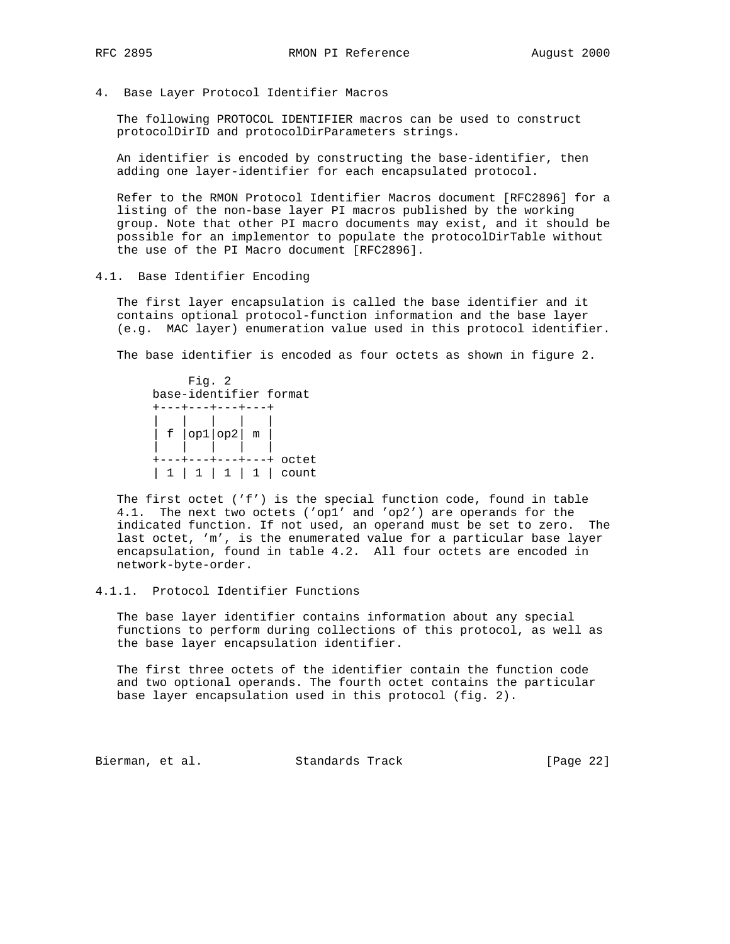4. Base Layer Protocol Identifier Macros

 The following PROTOCOL IDENTIFIER macros can be used to construct protocolDirID and protocolDirParameters strings.

 An identifier is encoded by constructing the base-identifier, then adding one layer-identifier for each encapsulated protocol.

 Refer to the RMON Protocol Identifier Macros document [RFC2896] for a listing of the non-base layer PI macros published by the working group. Note that other PI macro documents may exist, and it should be possible for an implementor to populate the protocolDirTable without the use of the PI Macro document [RFC2896].

4.1. Base Identifier Encoding

 The first layer encapsulation is called the base identifier and it contains optional protocol-function information and the base layer (e.g. MAC layer) enumeration value used in this protocol identifier.

The base identifier is encoded as four octets as shown in figure 2.

 Fig. 2 base-identifier format +---+---+---+---+ | | | | |  $f$  |op1|op2| m | | | | | +---+---+---+---+ octet | 1 | 1 | 1 | 1 | count

 The first octet ('f') is the special function code, found in table 4.1. The next two octets ('op1' and 'op2') are operands for the indicated function. If not used, an operand must be set to zero. The last octet, 'm', is the enumerated value for a particular base layer encapsulation, found in table 4.2. All four octets are encoded in network-byte-order.

4.1.1. Protocol Identifier Functions

 The base layer identifier contains information about any special functions to perform during collections of this protocol, as well as the base layer encapsulation identifier.

 The first three octets of the identifier contain the function code and two optional operands. The fourth octet contains the particular base layer encapsulation used in this protocol (fig. 2).

Bierman, et al. Standards Track [Page 22]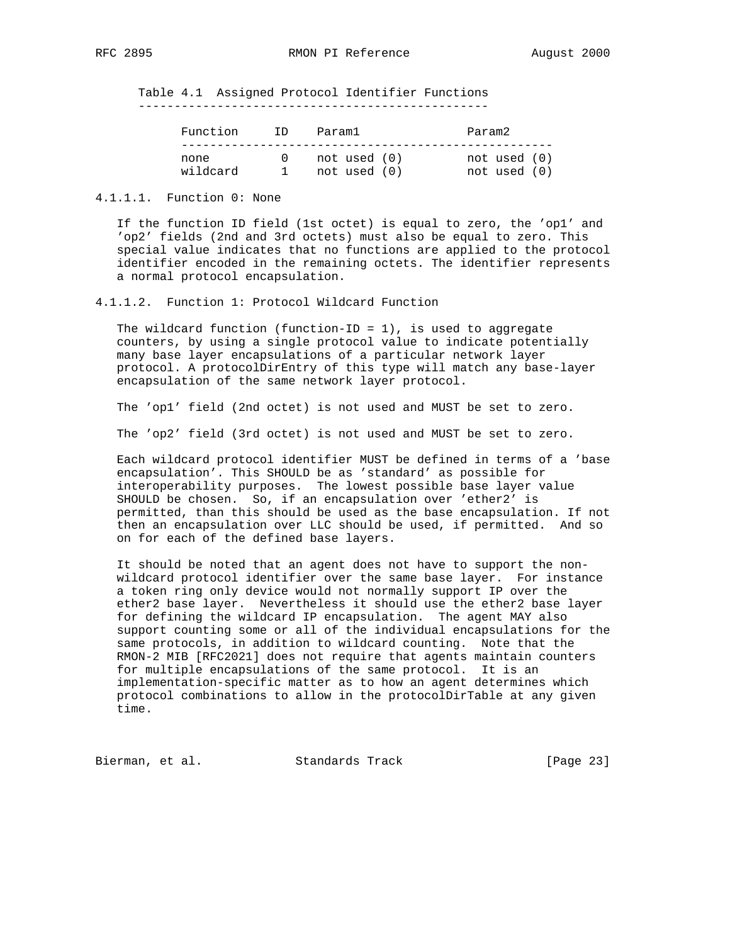Table 4.1 Assigned Protocol Identifier Functions -------------------------------------------------

| Function | TD. | Param1       | Param2       |
|----------|-----|--------------|--------------|
| none     |     | not used (0) | not used (0) |
| wildcard |     | not used (0) | not used (0) |

4.1.1.1. Function 0: None

 If the function ID field (1st octet) is equal to zero, the 'op1' and 'op2' fields (2nd and 3rd octets) must also be equal to zero. This special value indicates that no functions are applied to the protocol identifier encoded in the remaining octets. The identifier represents a normal protocol encapsulation.

4.1.1.2. Function 1: Protocol Wildcard Function

The wildcard function (function-ID = 1), is used to aggregate counters, by using a single protocol value to indicate potentially many base layer encapsulations of a particular network layer protocol. A protocolDirEntry of this type will match any base-layer encapsulation of the same network layer protocol.

The 'op1' field (2nd octet) is not used and MUST be set to zero.

The 'op2' field (3rd octet) is not used and MUST be set to zero.

 Each wildcard protocol identifier MUST be defined in terms of a 'base encapsulation'. This SHOULD be as 'standard' as possible for interoperability purposes. The lowest possible base layer value SHOULD be chosen. So, if an encapsulation over 'ether2' is permitted, than this should be used as the base encapsulation. If not then an encapsulation over LLC should be used, if permitted. And so on for each of the defined base layers.

 It should be noted that an agent does not have to support the non wildcard protocol identifier over the same base layer. For instance a token ring only device would not normally support IP over the ether2 base layer. Nevertheless it should use the ether2 base layer for defining the wildcard IP encapsulation. The agent MAY also support counting some or all of the individual encapsulations for the same protocols, in addition to wildcard counting. Note that the RMON-2 MIB [RFC2021] does not require that agents maintain counters for multiple encapsulations of the same protocol. It is an implementation-specific matter as to how an agent determines which protocol combinations to allow in the protocolDirTable at any given time.

Bierman, et al. Standards Track [Page 23]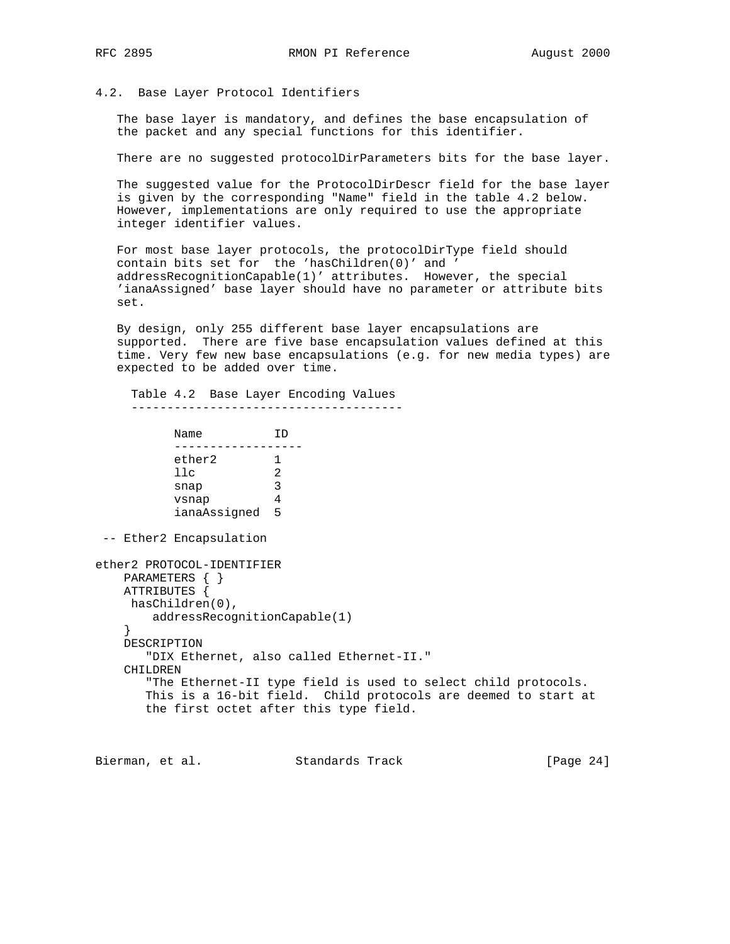## 4.2. Base Layer Protocol Identifiers

 The base layer is mandatory, and defines the base encapsulation of the packet and any special functions for this identifier.

There are no suggested protocolDirParameters bits for the base layer.

 The suggested value for the ProtocolDirDescr field for the base layer is given by the corresponding "Name" field in the table 4.2 below. However, implementations are only required to use the appropriate integer identifier values.

 For most base layer protocols, the protocolDirType field should contain bits set for the 'hasChildren(0)' and ' addressRecognitionCapable(1)' attributes. However, the special 'ianaAssigned' base layer should have no parameter or attribute bits set.

 By design, only 255 different base layer encapsulations are supported. There are five base encapsulation values defined at this time. Very few new base encapsulations (e.g. for new media types) are expected to be added over time.

 Table 4.2 Base Layer Encoding Values --------------------------------------

| Name         | TD |
|--------------|----|
| ether2       | ı  |
| 11c          | 2  |
| snap         | 3  |
| vsnap        |    |
| ianaAssigned | 5  |

-- Ether2 Encapsulation

```
ether2 PROTOCOL-IDENTIFIER
    PARAMETERS { }
    ATTRIBUTES {
     hasChildren(0),
        addressRecognitionCapable(1)
     }
     DESCRIPTION
        "DIX Ethernet, also called Ethernet-II."
     CHILDREN
        "The Ethernet-II type field is used to select child protocols.
        This is a 16-bit field. Child protocols are deemed to start at
        the first octet after this type field.
```
Bierman, et al. Standards Track [Page 24]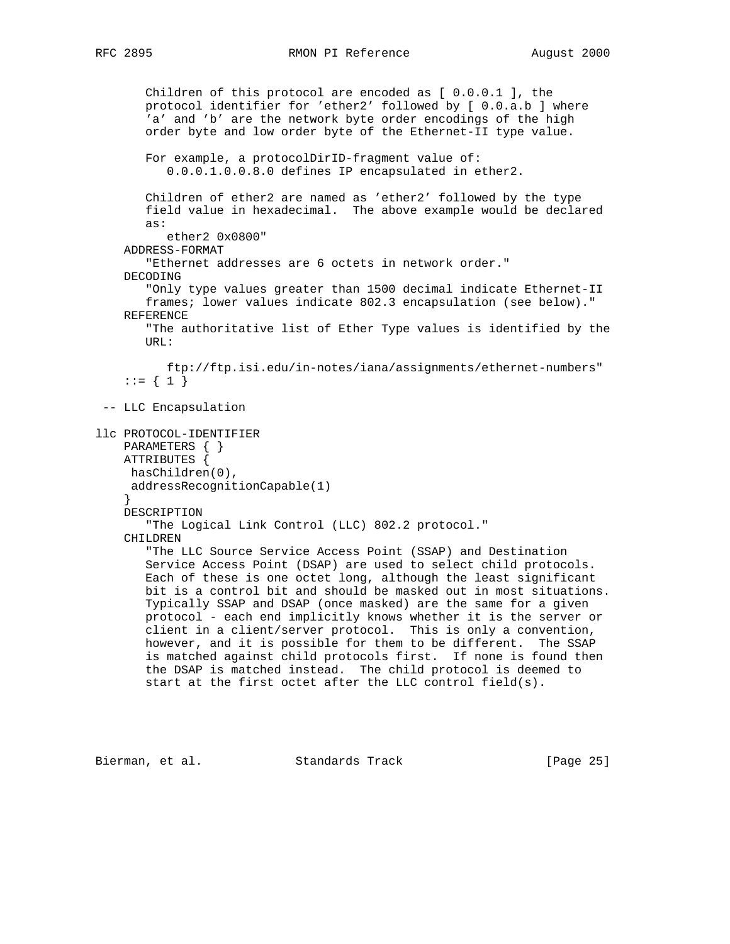```
 Children of this protocol are encoded as [ 0.0.0.1 ], the
        protocol identifier for 'ether2' followed by [ 0.0.a.b ] where
        'a' and 'b' are the network byte order encodings of the high
        order byte and low order byte of the Ethernet-II type value.
       For example, a protocolDirID-fragment value of:
           0.0.0.1.0.0.8.0 defines IP encapsulated in ether2.
        Children of ether2 are named as 'ether2' followed by the type
        field value in hexadecimal. The above example would be declared
        as:
           ether2 0x0800"
    ADDRESS-FORMAT
        "Ethernet addresses are 6 octets in network order."
    DECODING
        "Only type values greater than 1500 decimal indicate Ethernet-II
        frames; lower values indicate 802.3 encapsulation (see below)."
    REFERENCE
       "The authoritative list of Ether Type values is identified by the
       URL:
           ftp://ftp.isi.edu/in-notes/iana/assignments/ethernet-numbers"
    ::= \{ 1 \} -- LLC Encapsulation
llc PROTOCOL-IDENTIFIER
     PARAMETERS { }
    ATTRIBUTES {
     hasChildren(0),
     addressRecognitionCapable(1)
     }
    DESCRIPTION
        "The Logical Link Control (LLC) 802.2 protocol."
     CHILDREN
        "The LLC Source Service Access Point (SSAP) and Destination
        Service Access Point (DSAP) are used to select child protocols.
        Each of these is one octet long, although the least significant
       bit is a control bit and should be masked out in most situations.
        Typically SSAP and DSAP (once masked) are the same for a given
       protocol - each end implicitly knows whether it is the server or
       client in a client/server protocol. This is only a convention,
       however, and it is possible for them to be different. The SSAP
       is matched against child protocols first. If none is found then
       the DSAP is matched instead. The child protocol is deemed to
       start at the first octet after the LLC control field(s).
```
Bierman, et al. Standards Track [Page 25]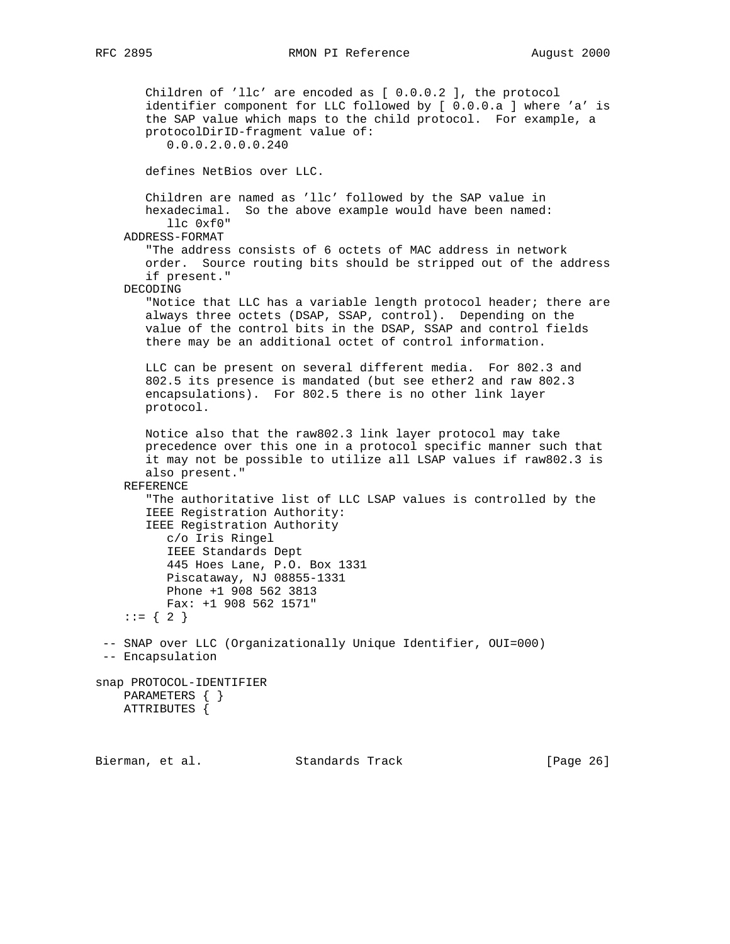```
 Children of 'llc' are encoded as [ 0.0.0.2 ], the protocol
        identifier component for LLC followed by [ 0.0.0.a ] where 'a' is
        the SAP value which maps to the child protocol. For example, a
        protocolDirID-fragment value of:
           0.0.0.2.0.0.0.240
        defines NetBios over LLC.
        Children are named as 'llc' followed by the SAP value in
        hexadecimal. So the above example would have been named:
          llc 0xf0"
     ADDRESS-FORMAT
        "The address consists of 6 octets of MAC address in network
        order. Source routing bits should be stripped out of the address
        if present."
     DECODING
        "Notice that LLC has a variable length protocol header; there are
        always three octets (DSAP, SSAP, control). Depending on the
       value of the control bits in the DSAP, SSAP and control fields
        there may be an additional octet of control information.
       LLC can be present on several different media. For 802.3 and
       802.5 its presence is mandated (but see ether2 and raw 802.3
       encapsulations). For 802.5 there is no other link layer
       protocol.
       Notice also that the raw802.3 link layer protocol may take
       precedence over this one in a protocol specific manner such that
        it may not be possible to utilize all LSAP values if raw802.3 is
        also present."
     REFERENCE
        "The authoritative list of LLC LSAP values is controlled by the
        IEEE Registration Authority:
        IEEE Registration Authority
          c/o Iris Ringel
           IEEE Standards Dept
           445 Hoes Lane, P.O. Box 1331
           Piscataway, NJ 08855-1331
           Phone +1 908 562 3813
          Fax: +1 908 562 1571"
    ::= \{ 2 \} -- SNAP over LLC (Organizationally Unique Identifier, OUI=000)
 -- Encapsulation
snap PROTOCOL-IDENTIFIER
    PARAMETERS { }
    ATTRIBUTES {
```
Bierman, et al. Standards Track [Page 26]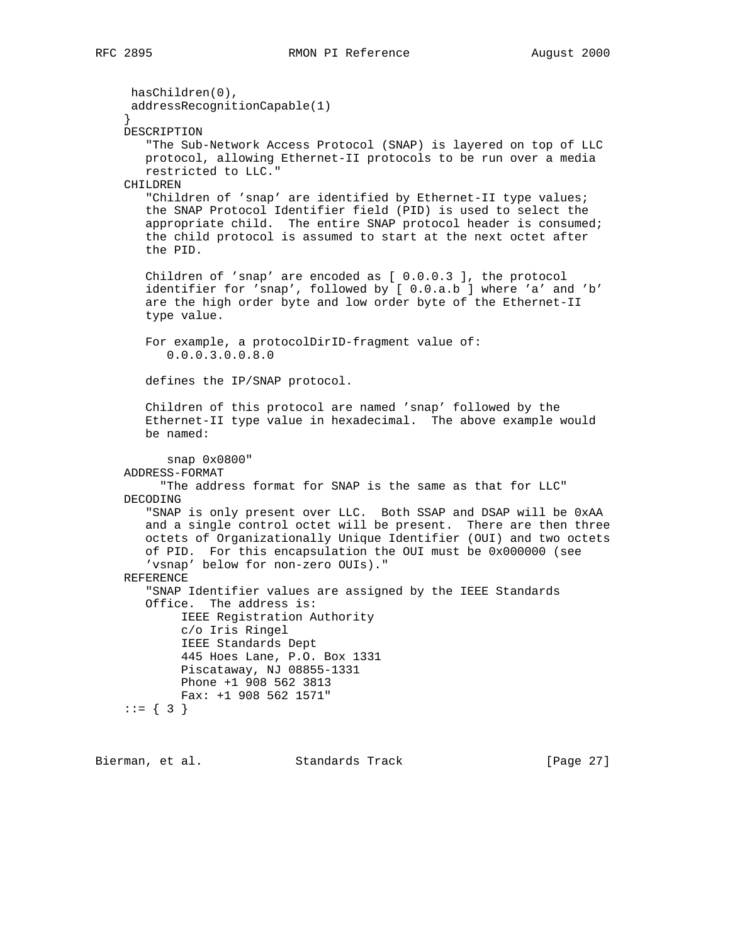```
 hasChildren(0),
 addressRecognitionCapable(1)
 }
```
 DESCRIPTION "The Sub-Network Access Protocol (SNAP) is layered on top of LLC protocol, allowing Ethernet-II protocols to be run over a media restricted to LLC." CHILDREN "Children of 'snap' are identified by Ethernet-II type values; the SNAP Protocol Identifier field (PID) is used to select the appropriate child. The entire SNAP protocol header is consumed; the child protocol is assumed to start at the next octet after the PID. Children of 'snap' are encoded as [ 0.0.0.3 ], the protocol identifier for 'snap', followed by [ 0.0.a.b ] where 'a' and 'b' are the high order byte and low order byte of the Ethernet-II type value. For example, a protocolDirID-fragment value of: 0.0.0.3.0.0.8.0 defines the IP/SNAP protocol. Children of this protocol are named 'snap' followed by the Ethernet-II type value in hexadecimal. The above example would be named: snap 0x0800" ADDRESS-FORMAT "The address format for SNAP is the same as that for LLC" DECODING "SNAP is only present over LLC. Both SSAP and DSAP will be 0xAA

 and a single control octet will be present. There are then three octets of Organizationally Unique Identifier (OUI) and two octets of PID. For this encapsulation the OUI must be 0x000000 (see 'vsnap' below for non-zero OUIs)." REFERENCE "SNAP Identifier values are assigned by the IEEE Standards Office. The address is: IEEE Registration Authority c/o Iris Ringel IEEE Standards Dept 445 Hoes Lane, P.O. Box 1331 Piscataway, NJ 08855-1331 Phone +1 908 562 3813 Fax: +1 908 562 1571"

```
: := \{ 3 \}
```
Bierman, et al. Standards Track [Page 27]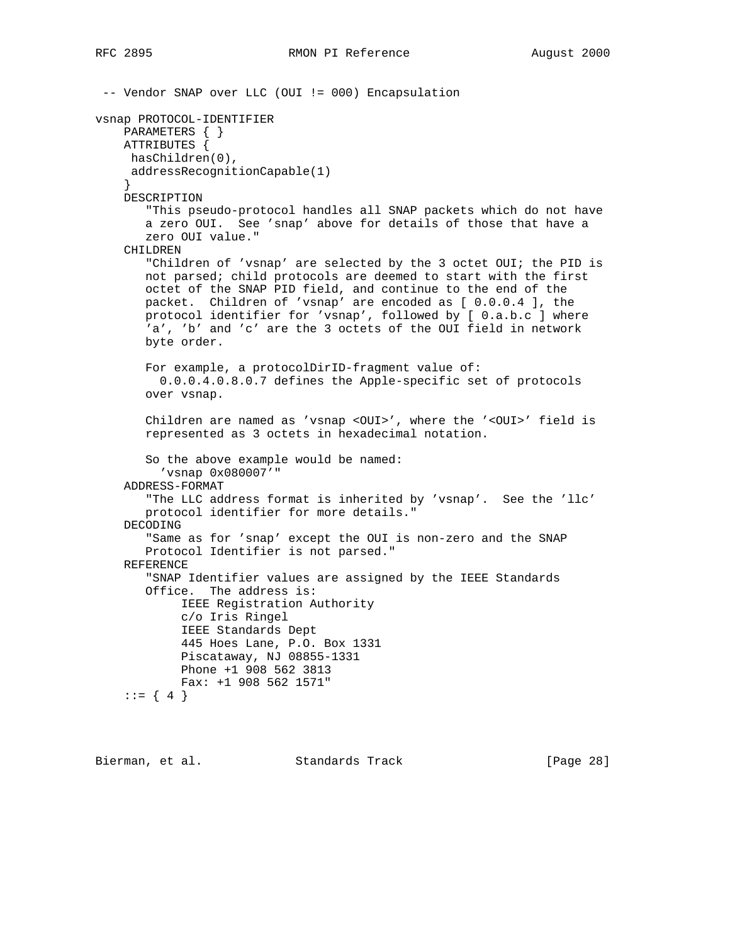```
 -- Vendor SNAP over LLC (OUI != 000) Encapsulation
vsnap PROTOCOL-IDENTIFIER
    PARAMETERS { }
    ATTRIBUTES {
     hasChildren(0),
     addressRecognitionCapable(1)
     }
     DESCRIPTION
        "This pseudo-protocol handles all SNAP packets which do not have
        a zero OUI. See 'snap' above for details of those that have a
        zero OUI value."
     CHILDREN
        "Children of 'vsnap' are selected by the 3 octet OUI; the PID is
        not parsed; child protocols are deemed to start with the first
        octet of the SNAP PID field, and continue to the end of the
        packet. Children of 'vsnap' are encoded as [ 0.0.0.4 ], the
        protocol identifier for 'vsnap', followed by [ 0.a.b.c ] where
        'a', 'b' and 'c' are the 3 octets of the OUI field in network
        byte order.
        For example, a protocolDirID-fragment value of:
         0.0.0.4.0.8.0.7 defines the Apple-specific set of protocols
        over vsnap.
        Children are named as 'vsnap <OUI>', where the '<OUI>' field is
        represented as 3 octets in hexadecimal notation.
        So the above example would be named:
          'vsnap 0x080007'"
     ADDRESS-FORMAT
        "The LLC address format is inherited by 'vsnap'. See the 'llc'
        protocol identifier for more details."
     DECODING
        "Same as for 'snap' except the OUI is non-zero and the SNAP
        Protocol Identifier is not parsed."
     REFERENCE
        "SNAP Identifier values are assigned by the IEEE Standards
        Office. The address is:
             IEEE Registration Authority
             c/o Iris Ringel
             IEEE Standards Dept
             445 Hoes Lane, P.O. Box 1331
             Piscataway, NJ 08855-1331
             Phone +1 908 562 3813
             Fax: +1 908 562 1571"
    : := \{ 4 \}
```
Bierman, et al. Standards Track [Page 28]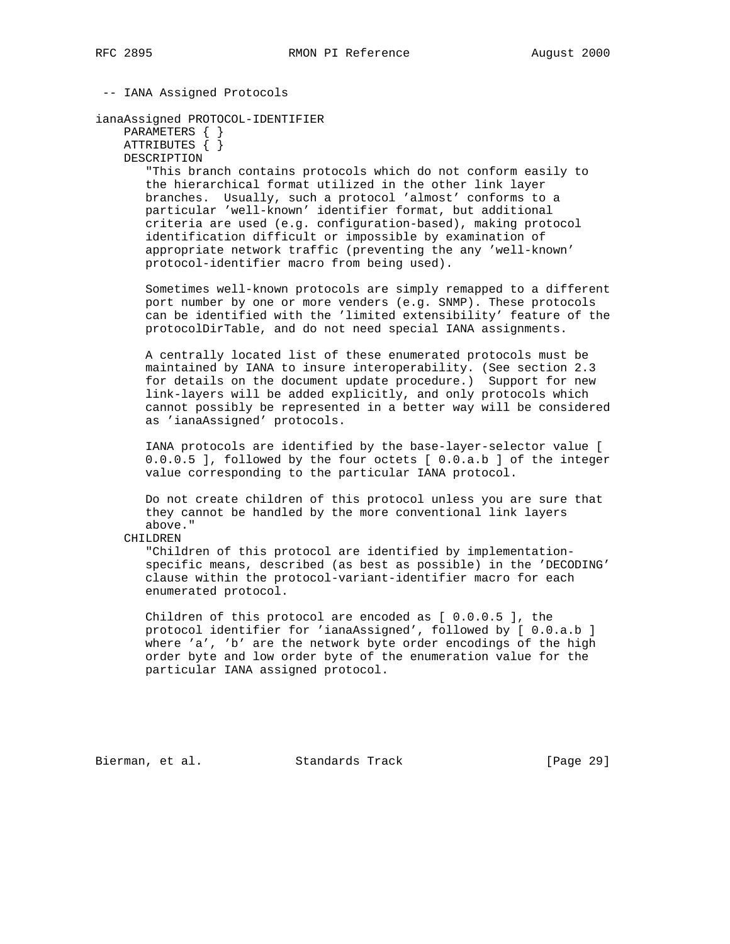-- IANA Assigned Protocols

#### ianaAssigned PROTOCOL-IDENTIFIER

 PARAMETERS { } ATTRIBUTES { } DESCRIPTION

> "This branch contains protocols which do not conform easily to the hierarchical format utilized in the other link layer branches. Usually, such a protocol 'almost' conforms to a particular 'well-known' identifier format, but additional criteria are used (e.g. configuration-based), making protocol identification difficult or impossible by examination of appropriate network traffic (preventing the any 'well-known' protocol-identifier macro from being used).

 Sometimes well-known protocols are simply remapped to a different port number by one or more venders (e.g. SNMP). These protocols can be identified with the 'limited extensibility' feature of the protocolDirTable, and do not need special IANA assignments.

 A centrally located list of these enumerated protocols must be maintained by IANA to insure interoperability. (See section 2.3 for details on the document update procedure.) Support for new link-layers will be added explicitly, and only protocols which cannot possibly be represented in a better way will be considered as 'ianaAssigned' protocols.

 IANA protocols are identified by the base-layer-selector value [ 0.0.0.5 ], followed by the four octets [ 0.0.a.b ] of the integer value corresponding to the particular IANA protocol.

 Do not create children of this protocol unless you are sure that they cannot be handled by the more conventional link layers above."

#### CHILDREN

 "Children of this protocol are identified by implementation specific means, described (as best as possible) in the 'DECODING' clause within the protocol-variant-identifier macro for each enumerated protocol.

 Children of this protocol are encoded as [ 0.0.0.5 ], the protocol identifier for 'ianaAssigned', followed by [ 0.0.a.b ] where 'a', 'b' are the network byte order encodings of the high order byte and low order byte of the enumeration value for the particular IANA assigned protocol.

Bierman, et al. Standards Track [Page 29]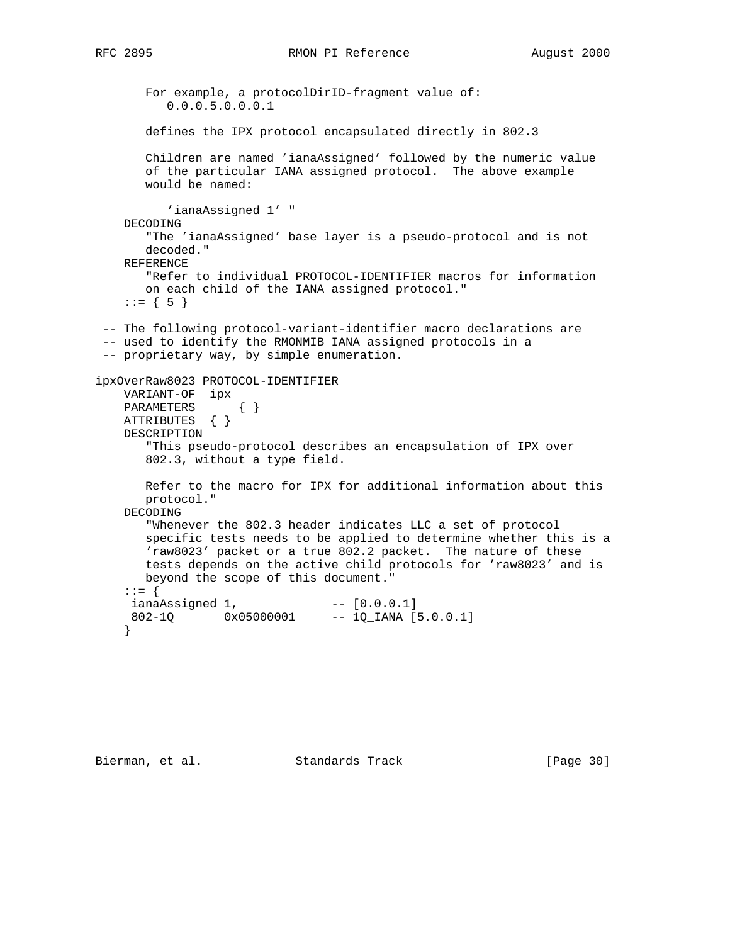```
 For example, a protocolDirID-fragment value of:
           0.0.0.5.0.0.0.1
       defines the IPX protocol encapsulated directly in 802.3
       Children are named 'ianaAssigned' followed by the numeric value
       of the particular IANA assigned protocol. The above example
       would be named:
           'ianaAssigned 1' "
    DECODING
        "The 'ianaAssigned' base layer is a pseudo-protocol and is not
       decoded."
    REFERENCE
        "Refer to individual PROTOCOL-IDENTIFIER macros for information
       on each child of the IANA assigned protocol."
    : := \{ 5 \} -- The following protocol-variant-identifier macro declarations are
  -- used to identify the RMONMIB IANA assigned protocols in a
  -- proprietary way, by simple enumeration.
ipxOverRaw8023 PROTOCOL-IDENTIFIER
    VARIANT-OF ipx
   PARAMETERS \{\} ATTRIBUTES { }
    DESCRIPTION
        "This pseudo-protocol describes an encapsulation of IPX over
       802.3, without a type field.
       Refer to the macro for IPX for additional information about this
       protocol."
    DECODING
        "Whenever the 802.3 header indicates LLC a set of protocol
       specific tests needs to be applied to determine whether this is a
        'raw8023' packet or a true 802.2 packet. The nature of these
       tests depends on the active child protocols for 'raw8023' and is
       beyond the scope of this document."
     ::= {
    ianaAssigned 1, - [0.0.0.1]
     802-1Q 0x05000001 -- 1Q_IANA [5.0.0.1]
     }
```
Bierman, et al. Standards Track [Page 30]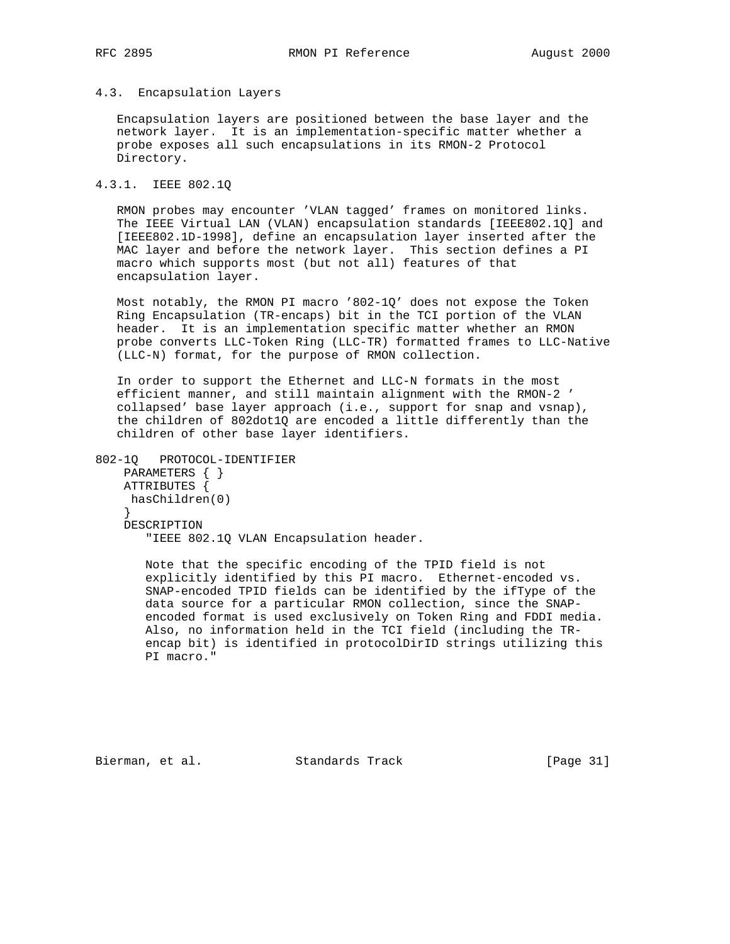#### 4.3. Encapsulation Layers

 Encapsulation layers are positioned between the base layer and the network layer. It is an implementation-specific matter whether a probe exposes all such encapsulations in its RMON-2 Protocol Directory.

4.3.1. IEEE 802.1Q

 RMON probes may encounter 'VLAN tagged' frames on monitored links. The IEEE Virtual LAN (VLAN) encapsulation standards [IEEE802.1Q] and [IEEE802.1D-1998], define an encapsulation layer inserted after the MAC layer and before the network layer. This section defines a PI macro which supports most (but not all) features of that encapsulation layer.

 Most notably, the RMON PI macro '802-1Q' does not expose the Token Ring Encapsulation (TR-encaps) bit in the TCI portion of the VLAN header. It is an implementation specific matter whether an RMON probe converts LLC-Token Ring (LLC-TR) formatted frames to LLC-Native (LLC-N) format, for the purpose of RMON collection.

 In order to support the Ethernet and LLC-N formats in the most efficient manner, and still maintain alignment with the RMON-2 ' collapsed' base layer approach (i.e., support for snap and vsnap), the children of 802dot1Q are encoded a little differently than the children of other base layer identifiers.

```
802-1Q PROTOCOL-IDENTIFIER
     PARAMETERS { }
     ATTRIBUTES {
     hasChildren(0)
     }
     DESCRIPTION
        "IEEE 802.1Q VLAN Encapsulation header.
```
 Note that the specific encoding of the TPID field is not explicitly identified by this PI macro. Ethernet-encoded vs. SNAP-encoded TPID fields can be identified by the ifType of the data source for a particular RMON collection, since the SNAP encoded format is used exclusively on Token Ring and FDDI media. Also, no information held in the TCI field (including the TR encap bit) is identified in protocolDirID strings utilizing this PI macro."

Bierman, et al. Standards Track [Page 31]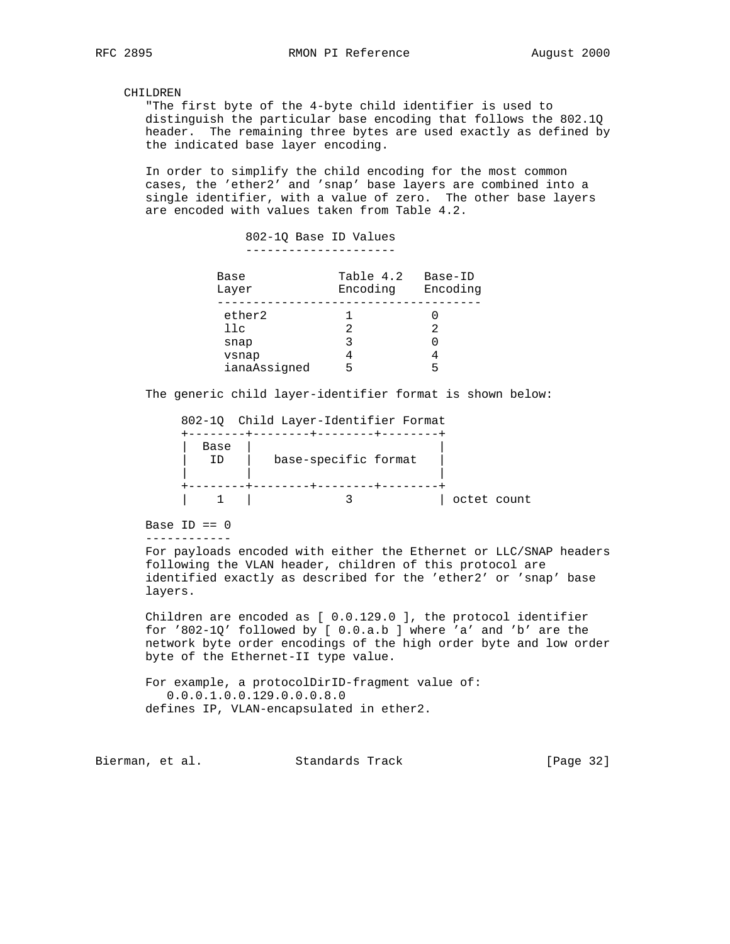#### CHILDREN

 "The first byte of the 4-byte child identifier is used to distinguish the particular base encoding that follows the 802.1Q header. The remaining three bytes are used exactly as defined by the indicated base layer encoding.

 In order to simplify the child encoding for the most common cases, the 'ether2' and 'snap' base layers are combined into a single identifier, with a value of zero. The other base layers are encoded with values taken from Table 4.2.

#### 802-1Q Base ID Values ---------------------

| Base<br>Layer | Table 4.2<br>Encoding | Base-ID<br>Encoding |
|---------------|-----------------------|---------------------|
| ether2        |                       |                     |
| 11c           |                       | 2                   |
| snap          |                       |                     |
| vsnap         |                       |                     |
| ianaAssigned  | 5                     | 5                   |

The generic child layer-identifier format is shown below:

|            | 802-10 Child Layer-Identifier Format<br>--------+--------+------- |             |  |
|------------|-------------------------------------------------------------------|-------------|--|
| Base<br>ΤD | base-specific format                                              |             |  |
|            |                                                                   | octet count |  |

Base ID  $== 0$ ------------

 For payloads encoded with either the Ethernet or LLC/SNAP headers following the VLAN header, children of this protocol are identified exactly as described for the 'ether2' or 'snap' base layers.

 Children are encoded as [ 0.0.129.0 ], the protocol identifier for '802-1Q' followed by [ 0.0.a.b ] where 'a' and 'b' are the network byte order encodings of the high order byte and low order byte of the Ethernet-II type value.

 For example, a protocolDirID-fragment value of: 0.0.0.1.0.0.129.0.0.0.8.0 defines IP, VLAN-encapsulated in ether2.

Bierman, et al. Standards Track [Page 32]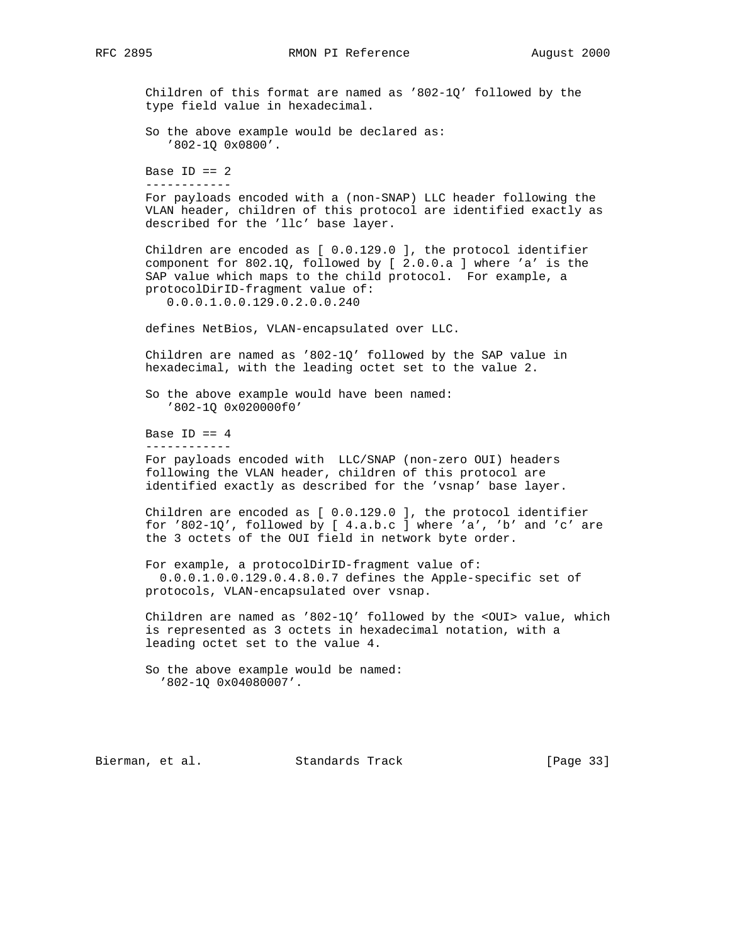Children of this format are named as '802-1Q' followed by the type field value in hexadecimal. So the above example would be declared as: '802-1Q 0x0800'. Base ID  $== 2$  ------------ For payloads encoded with a (non-SNAP) LLC header following the VLAN header, children of this protocol are identified exactly as described for the 'llc' base layer. Children are encoded as [ 0.0.129.0 ], the protocol identifier component for 802.1Q, followed by [ 2.0.0.a ] where 'a' is the SAP value which maps to the child protocol. For example, a protocolDirID-fragment value of: 0.0.0.1.0.0.129.0.2.0.0.240 defines NetBios, VLAN-encapsulated over LLC. Children are named as '802-1Q' followed by the SAP value in hexadecimal, with the leading octet set to the value 2. So the above example would have been named: '802-1Q 0x020000f0' Base ID  $== 4$  ------------ For payloads encoded with LLC/SNAP (non-zero OUI) headers following the VLAN header, children of this protocol are identified exactly as described for the 'vsnap' base layer. Children are encoded as [ 0.0.129.0 ], the protocol identifier for '802-1Q', followed by [ 4.a.b.c ] where 'a', 'b' and 'c' are the 3 octets of the OUI field in network byte order. For example, a protocolDirID-fragment value of: 0.0.0.1.0.0.129.0.4.8.0.7 defines the Apple-specific set of protocols, VLAN-encapsulated over vsnap. Children are named as '802-1Q' followed by the <OUI> value, which is represented as 3 octets in hexadecimal notation, with a leading octet set to the value 4. So the above example would be named: '802-1Q 0x04080007'.

Bierman, et al. Standards Track [Page 33]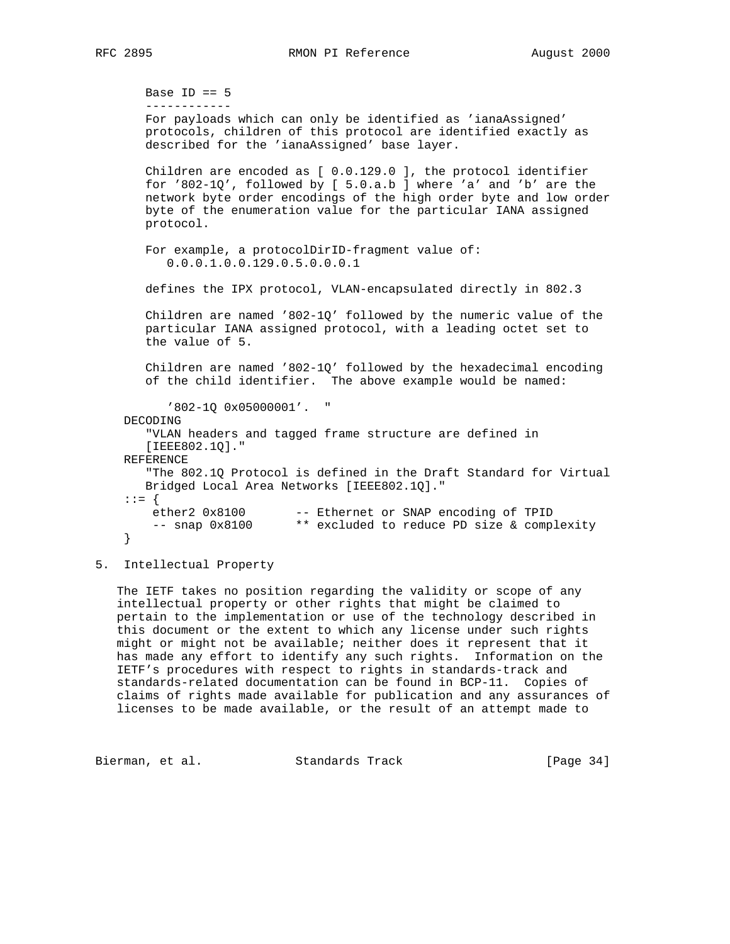```
Base ID == 5 ------------
       For payloads which can only be identified as 'ianaAssigned'
       protocols, children of this protocol are identified exactly as
       described for the 'ianaAssigned' base layer.
       Children are encoded as [ 0.0.129.0 ], the protocol identifier
       for '802-1Q', followed by [ 5.0.a.b ] where 'a' and 'b' are the
       network byte order encodings of the high order byte and low order
       byte of the enumeration value for the particular IANA assigned
       protocol.
       For example, a protocolDirID-fragment value of:
          0.0.0.1.0.0.129.0.5.0.0.0.1
       defines the IPX protocol, VLAN-encapsulated directly in 802.3
       Children are named '802-1Q' followed by the numeric value of the
       particular IANA assigned protocol, with a leading octet set to
       the value of 5.
       Children are named '802-1Q' followed by the hexadecimal encoding
       of the child identifier. The above example would be named:
          '802-1Q 0x05000001'. "
    DECODING
        "VLAN headers and tagged frame structure are defined in
       [IEEE802.1Q]."
    REFERENCE
       "The 802.1Q Protocol is defined in the Draft Standard for Virtual
       Bridged Local Area Networks [IEEE802.1Q]."
    ::= {
 ether2 0x8100 -- Ethernet or SNAP encoding of TPID
 -- snap 0x8100 ** excluded to reduce PD size & complexity
    }
```

```
5. Intellectual Property
```
 The IETF takes no position regarding the validity or scope of any intellectual property or other rights that might be claimed to pertain to the implementation or use of the technology described in this document or the extent to which any license under such rights might or might not be available; neither does it represent that it has made any effort to identify any such rights. Information on the IETF's procedures with respect to rights in standards-track and standards-related documentation can be found in BCP-11. Copies of claims of rights made available for publication and any assurances of licenses to be made available, or the result of an attempt made to

Bierman, et al. Standards Track [Page 34]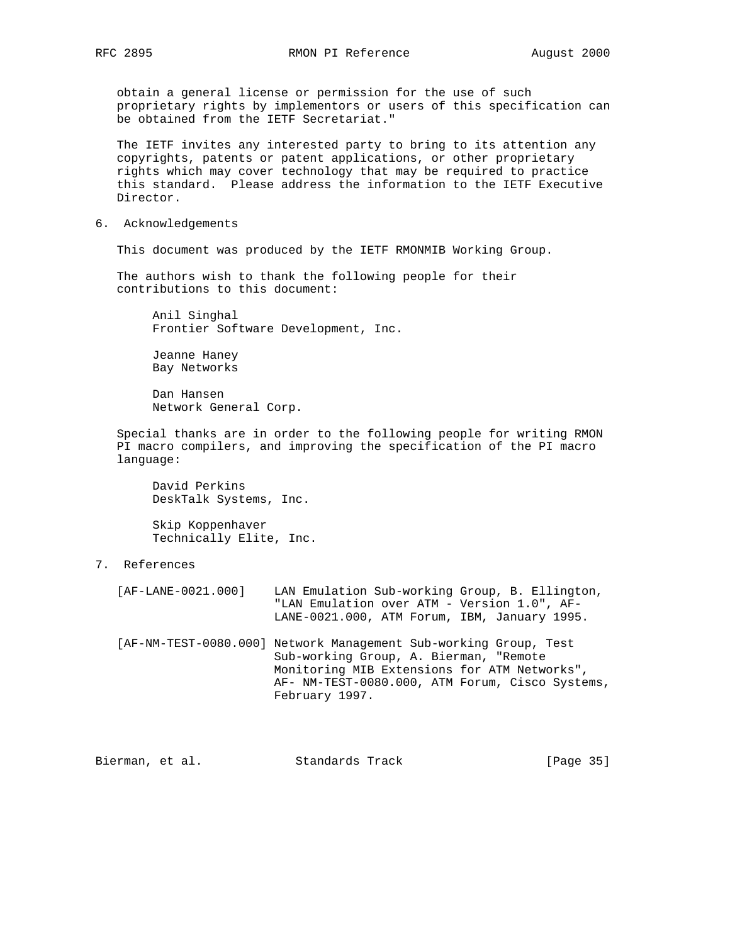obtain a general license or permission for the use of such proprietary rights by implementors or users of this specification can be obtained from the IETF Secretariat."

 The IETF invites any interested party to bring to its attention any copyrights, patents or patent applications, or other proprietary rights which may cover technology that may be required to practice this standard. Please address the information to the IETF Executive Director.

6. Acknowledgements

This document was produced by the IETF RMONMIB Working Group.

 The authors wish to thank the following people for their contributions to this document:

 Anil Singhal Frontier Software Development, Inc.

 Jeanne Haney Bay Networks

 Dan Hansen Network General Corp.

 Special thanks are in order to the following people for writing RMON PI macro compilers, and improving the specification of the PI macro language:

 David Perkins DeskTalk Systems, Inc.

 Skip Koppenhaver Technically Elite, Inc.

7. References

 [AF-LANE-0021.000] LAN Emulation Sub-working Group, B. Ellington, "LAN Emulation over ATM - Version 1.0", AF- LANE-0021.000, ATM Forum, IBM, January 1995.

 [AF-NM-TEST-0080.000] Network Management Sub-working Group, Test Sub-working Group, A. Bierman, "Remote Monitoring MIB Extensions for ATM Networks", AF- NM-TEST-0080.000, ATM Forum, Cisco Systems, February 1997.

Bierman, et al. Standards Track [Page 35]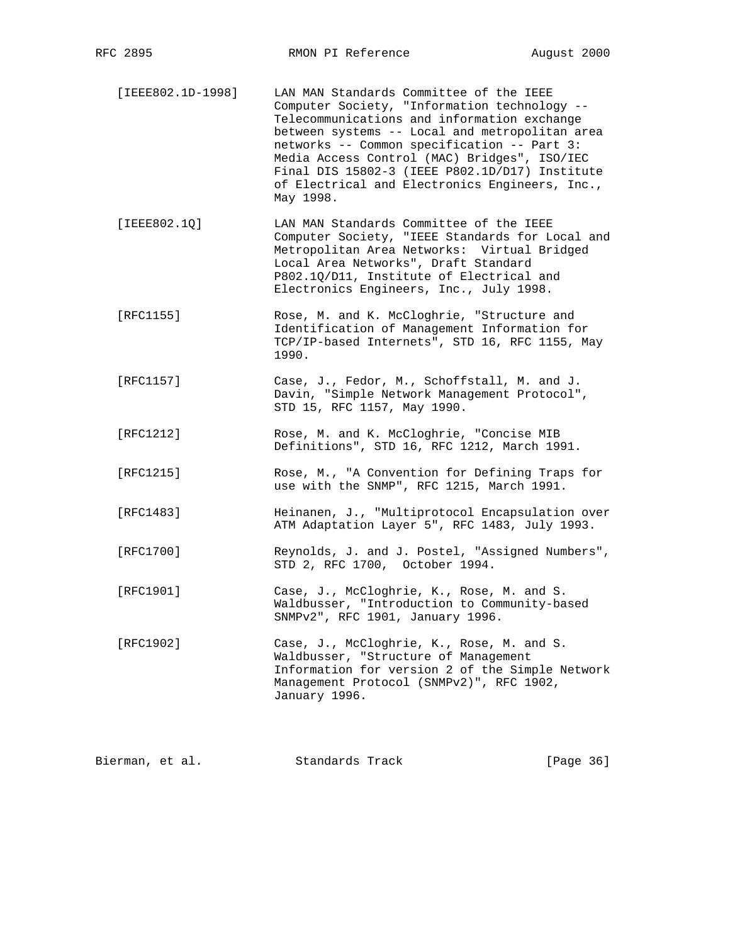- [IEEE802.1D-1998] LAN MAN Standards Committee of the IEEE Computer Society, "Information technology -- Telecommunications and information exchange between systems -- Local and metropolitan area networks -- Common specification -- Part 3: Media Access Control (MAC) Bridges", ISO/IEC Final DIS 15802-3 (IEEE P802.1D/D17) Institute of Electrical and Electronics Engineers, Inc., May 1998.
	- [IEEE802.1Q] LAN MAN Standards Committee of the IEEE Computer Society, "IEEE Standards for Local and Metropolitan Area Networks: Virtual Bridged Local Area Networks", Draft Standard P802.1Q/D11, Institute of Electrical and Electronics Engineers, Inc., July 1998.
	- [RFC1155] Rose, M. and K. McCloghrie, "Structure and Identification of Management Information for TCP/IP-based Internets", STD 16, RFC 1155, May 1990.
	- [RFC1157] Case, J., Fedor, M., Schoffstall, M. and J. Davin, "Simple Network Management Protocol", STD 15, RFC 1157, May 1990.
	- [RFC1212] Rose, M. and K. McCloghrie, "Concise MIB Definitions", STD 16, RFC 1212, March 1991.
	- [RFC1215] Rose, M., "A Convention for Defining Traps for use with the SNMP", RFC 1215, March 1991.
	- [RFC1483] Heinanen, J., "Multiprotocol Encapsulation over ATM Adaptation Layer 5", RFC 1483, July 1993.
	- [RFC1700] Reynolds, J. and J. Postel, "Assigned Numbers", STD 2, RFC 1700, October 1994.
	- [RFC1901] Case, J., McCloghrie, K., Rose, M. and S. Waldbusser, "Introduction to Community-based SNMPv2", RFC 1901, January 1996.
	- [RFC1902] Case, J., McCloghrie, K., Rose, M. and S. Waldbusser, "Structure of Management Information for version 2 of the Simple Network Management Protocol (SNMPv2)", RFC 1902, January 1996.

Bierman, et al. Standards Track [Page 36]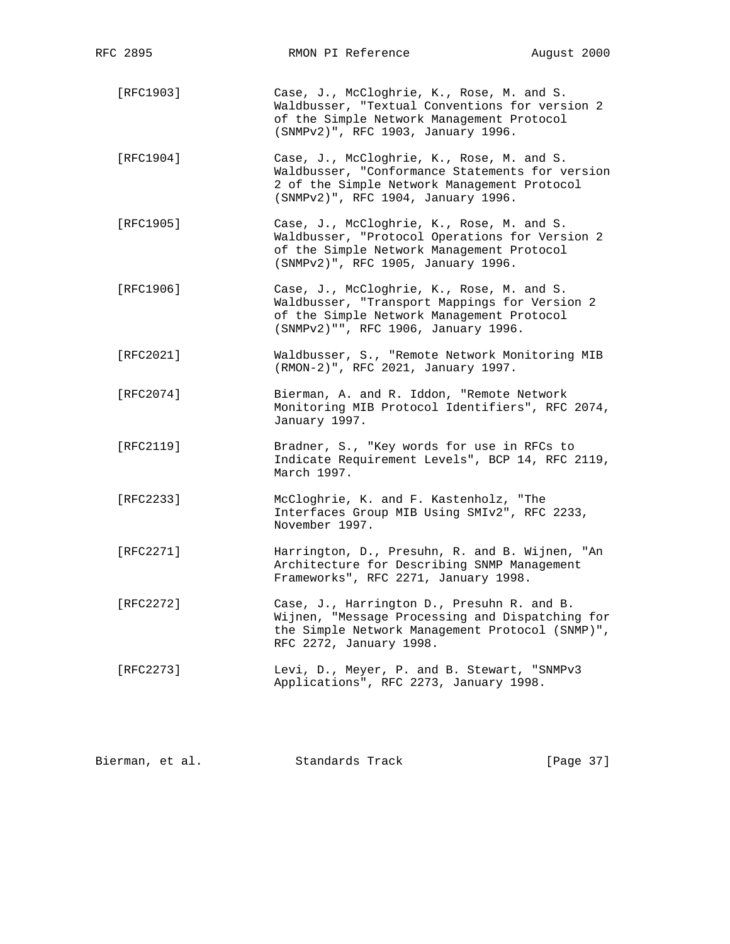| RFC 2895  | RMON PI Reference                                                                                                                                                                 | August 2000 |
|-----------|-----------------------------------------------------------------------------------------------------------------------------------------------------------------------------------|-------------|
| [RFC1903] | Case, J., McCloghrie, K., Rose, M. and S.<br>Waldbusser, "Textual Conventions for version 2<br>of the Simple Network Management Protocol<br>(SNMPv2)", RFC 1903, January 1996.    |             |
| [RFC1904] | Case, J., McCloghrie, K., Rose, M. and S.<br>Waldbusser, "Conformance Statements for version<br>2 of the Simple Network Management Protocol<br>(SNMPv2)", RFC 1904, January 1996. |             |
|           |                                                                                                                                                                                   |             |

 [RFC1905] Case, J., McCloghrie, K., Rose, M. and S. Waldbusser, "Protocol Operations for Version 2 of the Simple Network Management Protocol (SNMPv2)", RFC 1905, January 1996.

- [RFC1906] Case, J., McCloghrie, K., Rose, M. and S. Waldbusser, "Transport Mappings for Version 2 of the Simple Network Management Protocol (SNMPv2)"", RFC 1906, January 1996.
- [RFC2021] Waldbusser, S., "Remote Network Monitoring MIB (RMON-2)", RFC 2021, January 1997.
- [RFC2074] Bierman, A. and R. Iddon, "Remote Network Monitoring MIB Protocol Identifiers", RFC 2074, January 1997.
- [RFC2119] Bradner, S., "Key words for use in RFCs to Indicate Requirement Levels", BCP 14, RFC 2119, March 1997.
- [RFC2233] McCloghrie, K. and F. Kastenholz, "The Interfaces Group MIB Using SMIv2", RFC 2233, November 1997.
- [RFC2271] Harrington, D., Presuhn, R. and B. Wijnen, "An Architecture for Describing SNMP Management Frameworks", RFC 2271, January 1998.
- [RFC2272] Case, J., Harrington D., Presuhn R. and B. Wijnen, "Message Processing and Dispatching for the Simple Network Management Protocol (SNMP)", RFC 2272, January 1998.
- [RFC2273] Levi, D., Meyer, P. and B. Stewart, "SNMPv3 Applications", RFC 2273, January 1998.

| [Page 37]<br>Bierman, et al.<br>Standards Track |  |
|-------------------------------------------------|--|
|-------------------------------------------------|--|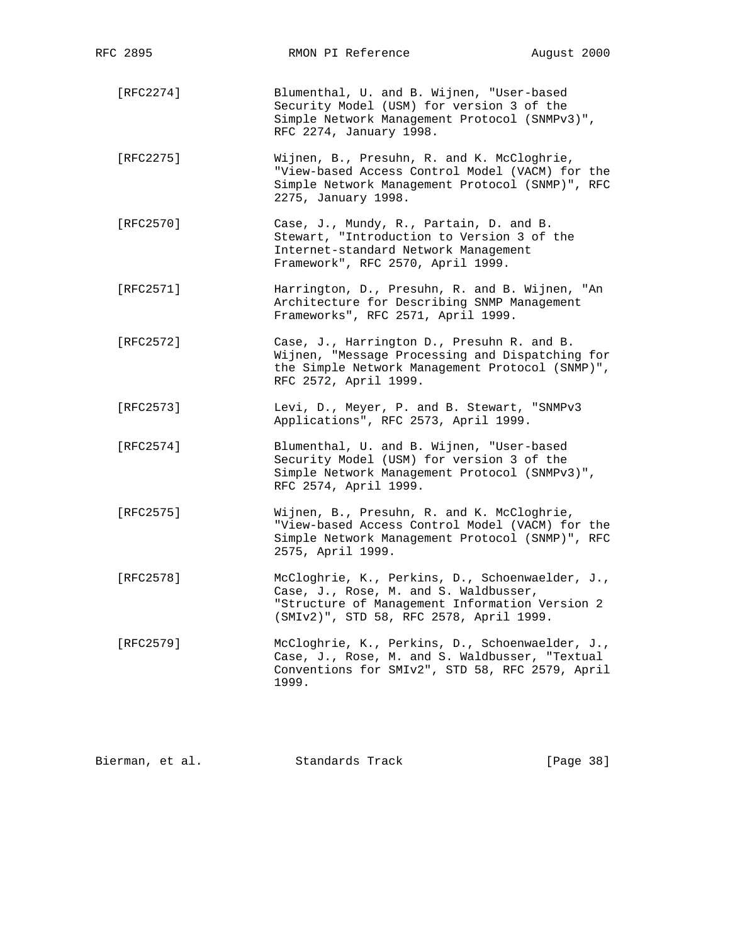- [RFC2274] Blumenthal, U. and B. Wijnen, "User-based Security Model (USM) for version 3 of the Simple Network Management Protocol (SNMPv3)", RFC 2274, January 1998.
- [RFC2275] Wijnen, B., Presuhn, R. and K. McCloghrie, "View-based Access Control Model (VACM) for the Simple Network Management Protocol (SNMP)", RFC 2275, January 1998.
- [RFC2570] Case, J., Mundy, R., Partain, D. and B. Stewart, "Introduction to Version 3 of the Internet-standard Network Management Framework", RFC 2570, April 1999.
- [RFC2571] Harrington, D., Presuhn, R. and B. Wijnen, "An Architecture for Describing SNMP Management Frameworks", RFC 2571, April 1999.
- [RFC2572] Case, J., Harrington D., Presuhn R. and B. Wijnen, "Message Processing and Dispatching for the Simple Network Management Protocol (SNMP)", RFC 2572, April 1999.
- [RFC2573] Levi, D., Meyer, P. and B. Stewart, "SNMPv3 Applications", RFC 2573, April 1999.
- [RFC2574] Blumenthal, U. and B. Wijnen, "User-based Security Model (USM) for version 3 of the Simple Network Management Protocol (SNMPv3)", RFC 2574, April 1999.
- [RFC2575] Wijnen, B., Presuhn, R. and K. McCloghrie, "View-based Access Control Model (VACM) for the Simple Network Management Protocol (SNMP)", RFC 2575, April 1999.
- [RFC2578] McCloghrie, K., Perkins, D., Schoenwaelder, J., Case, J., Rose, M. and S. Waldbusser, "Structure of Management Information Version 2 (SMIv2)", STD 58, RFC 2578, April 1999.
- [RFC2579] McCloghrie, K., Perkins, D., Schoenwaelder, J., Case, J., Rose, M. and S. Waldbusser, "Textual Conventions for SMIv2", STD 58, RFC 2579, April 1999.

| Bierman, et al. | Standards Track | [Page 38] |  |
|-----------------|-----------------|-----------|--|
|                 |                 |           |  |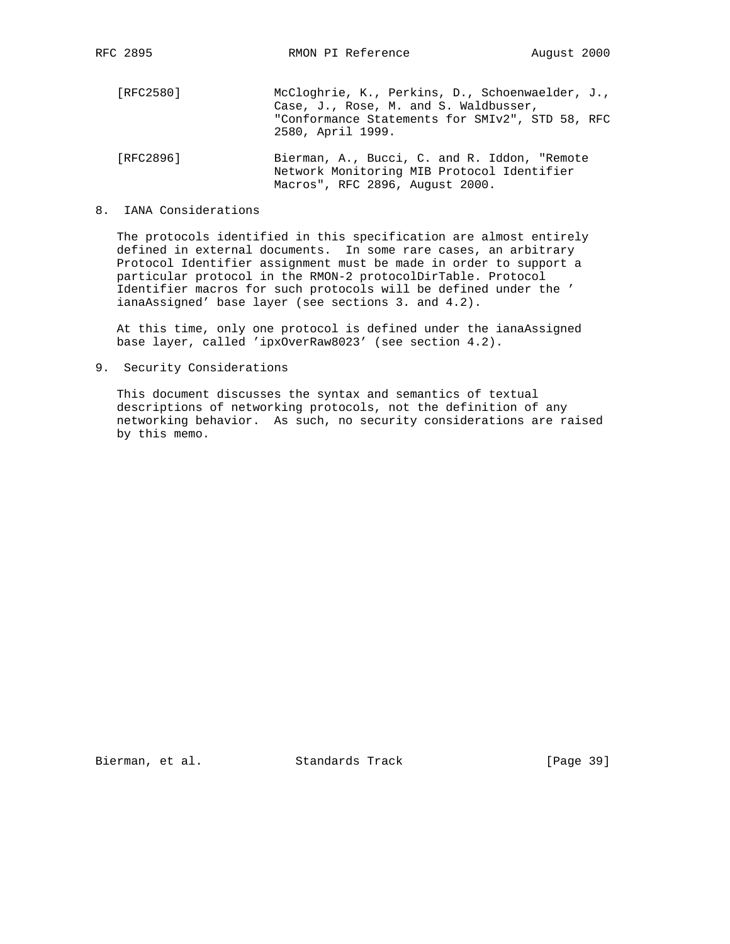- [RFC2580] McCloghrie, K., Perkins, D., Schoenwaelder, J., Case, J., Rose, M. and S. Waldbusser, "Conformance Statements for SMIv2", STD 58, RFC 2580, April 1999. [RFC2896] Bierman, A., Bucci, C. and R. Iddon, "Remote Network Monitoring MIB Protocol Identifier Macros", RFC 2896, August 2000.
- 8. IANA Considerations

 The protocols identified in this specification are almost entirely defined in external documents. In some rare cases, an arbitrary Protocol Identifier assignment must be made in order to support a particular protocol in the RMON-2 protocolDirTable. Protocol Identifier macros for such protocols will be defined under the ' ianaAssigned' base layer (see sections 3. and 4.2).

 At this time, only one protocol is defined under the ianaAssigned base layer, called 'ipxOverRaw8023' (see section 4.2).

9. Security Considerations

 This document discusses the syntax and semantics of textual descriptions of networking protocols, not the definition of any networking behavior. As such, no security considerations are raised by this memo.

Bierman, et al. Standards Track [Page 39]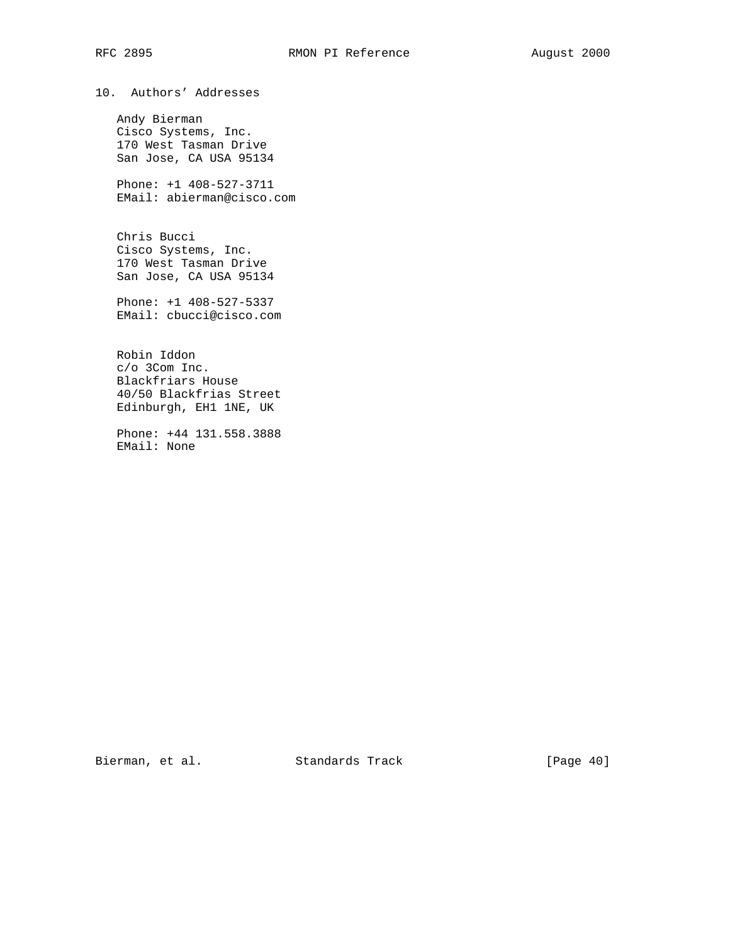10. Authors' Addresses

 Andy Bierman Cisco Systems, Inc. 170 West Tasman Drive San Jose, CA USA 95134

 Phone: +1 408-527-3711 EMail: abierman@cisco.com

 Chris Bucci Cisco Systems, Inc. 170 West Tasman Drive San Jose, CA USA 95134

 Phone: +1 408-527-5337 EMail: cbucci@cisco.com

 Robin Iddon c/o 3Com Inc. Blackfriars House 40/50 Blackfrias Street Edinburgh, EH1 1NE, UK

 Phone: +44 131.558.3888 EMail: None

Bierman, et al. Standards Track [Page 40]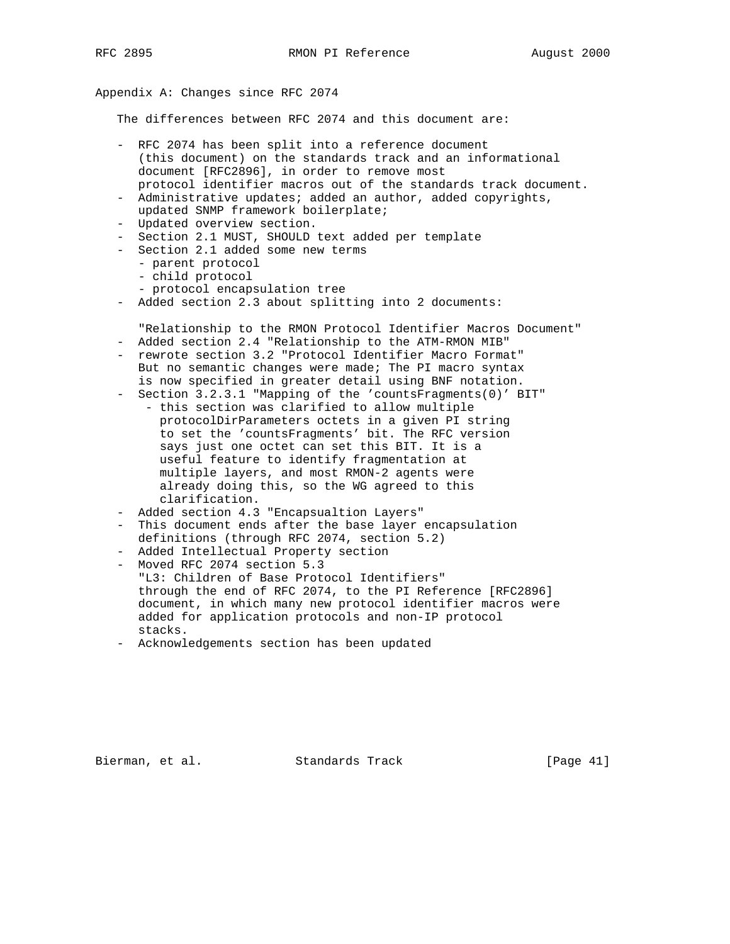Appendix A: Changes since RFC 2074

The differences between RFC 2074 and this document are:

- RFC 2074 has been split into a reference document (this document) on the standards track and an informational document [RFC2896], in order to remove most protocol identifier macros out of the standards track document. - Administrative updates; added an author, added copyrights, updated SNMP framework boilerplate; - Updated overview section. - Section 2.1 MUST, SHOULD text added per template - Section 2.1 added some new terms - parent protocol - child protocol - protocol encapsulation tree - Added section 2.3 about splitting into 2 documents: "Relationship to the RMON Protocol Identifier Macros Document" - Added section 2.4 "Relationship to the ATM-RMON MIB" - rewrote section 3.2 "Protocol Identifier Macro Format" But no semantic changes were made; The PI macro syntax is now specified in greater detail using BNF notation. - Section 3.2.3.1 "Mapping of the 'countsFragments(0)' BIT" - this section was clarified to allow multiple protocolDirParameters octets in a given PI string to set the 'countsFragments' bit. The RFC version says just one octet can set this BIT. It is a useful feature to identify fragmentation at multiple layers, and most RMON-2 agents were already doing this, so the WG agreed to this clarification. - Added section 4.3 "Encapsualtion Layers" - This document ends after the base layer encapsulation definitions (through RFC 2074, section 5.2) - Added Intellectual Property section - Moved RFC 2074 section 5.3 "L3: Children of Base Protocol Identifiers"
	- through the end of RFC 2074, to the PI Reference [RFC2896] document, in which many new protocol identifier macros were added for application protocols and non-IP protocol stacks.
- Acknowledgements section has been updated

Bierman, et al. Standards Track [Page 41]